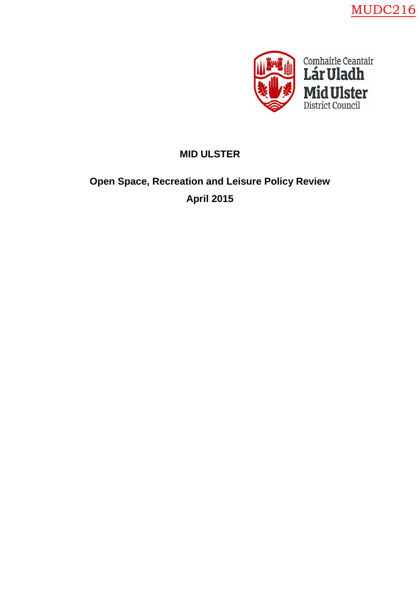



# **MID ULSTER**

# **Open Space, Recreation and Leisure Policy Review April 2015**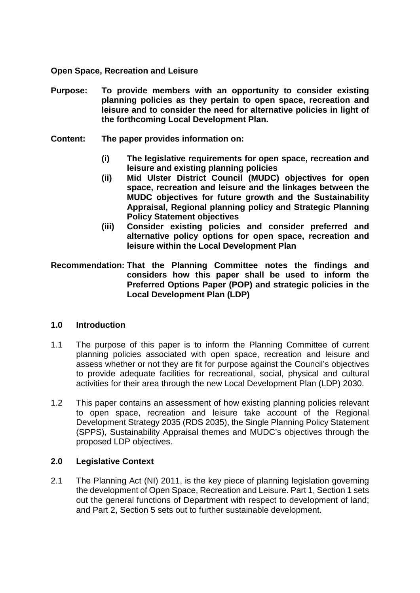#### **Open Space, Recreation and Leisure**

- **Purpose: To provide members with an opportunity to consider existing planning policies as they pertain to open space, recreation and leisure and to consider the need for alternative policies in light of the forthcoming Local Development Plan.**
- **Content: The paper provides information on:**
	- **(i) The legislative requirements for open space, recreation and leisure and existing planning policies**
	- **(ii) Mid Ulster District Council (MUDC) objectives for open space, recreation and leisure and the linkages between the MUDC objectives for future growth and the Sustainability Appraisal, Regional planning policy and Strategic Planning Policy Statement objectives**
	- **(iii) Consider existing policies and consider preferred and alternative policy options for open space, recreation and leisure within the Local Development Plan**
- **Recommendation: That the Planning Committee notes the findings and considers how this paper shall be used to inform the Preferred Options Paper (POP) and strategic policies in the Local Development Plan (LDP)**

## **1.0 Introduction**

- 1.1 The purpose of this paper is to inform the Planning Committee of current planning policies associated with open space, recreation and leisure and assess whether or not they are fit for purpose against the Council's objectives to provide adequate facilities for recreational, social, physical and cultural activities for their area through the new Local Development Plan (LDP) 2030.
- 1.2 This paper contains an assessment of how existing planning policies relevant to open space, recreation and leisure take account of the Regional Development Strategy 2035 (RDS 2035), the Single Planning Policy Statement (SPPS), Sustainability Appraisal themes and MUDC's objectives through the proposed LDP objectives.

## **2.0 Legislative Context**

2.1 The [Planning Act \(NI\) 2011,](http://www.legislation.gov.uk/nia/2011/25/contents) is the key piece of planning legislation governing the development of Open Space, Recreation and Leisure. Part 1, Section 1 sets out the general functions of Department with respect to development of land; and Part 2, Section 5 sets out to further sustainable development.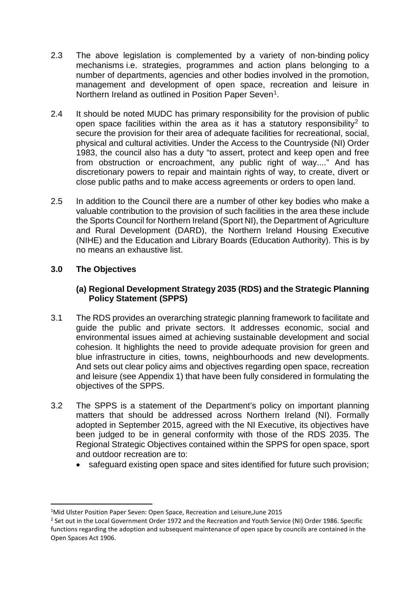- 2.3 The above legislation is complemented by a variety of non-binding [policy](http://jncc.defra.gov.uk/page-5324)  [mechanisms](http://jncc.defra.gov.uk/page-5324) i.e. strategies, programmes and action plans belonging to a number of departments, agencies and other bodies involved in the promotion, management and development of open space, recreation and leisure in Northern Ireland as outlined in Position Paper Seven<sup>1</sup>.
- 2.4 It should be noted MUDC has primary responsibility for the provision of public open space facilities within the area as it has a statutory responsibility<sup>[2](#page-2-1)</sup> to secure the provision for their area of adequate facilities for recreational, social, physical and cultural activities. Under the Access to the Countryside (NI) Order 1983, the council also has a duty "to assert, protect and keep open and free from obstruction or encroachment, any public right of way...." And has discretionary powers to repair and maintain rights of way, to create, divert or close public paths and to make access agreements or orders to open land.
- 2.5 In addition to the Council there are a number of other key bodies who make a valuable contribution to the provision of such facilities in the area these include the Sports Council for Northern Ireland (Sport NI), the Department of Agriculture and Rural Development (DARD), the Northern Ireland Housing Executive (NIHE) and the Education and Library Boards (Education Authority). This is by no means an exhaustive list.

# **3.0 The Objectives**

## **(a) Regional Development Strategy 2035 (RDS) and the Strategic Planning Policy Statement (SPPS)**

- 3.1 The RDS provides an overarching strategic planning framework to facilitate and guide the public and private sectors. It addresses economic, social and environmental issues aimed at achieving sustainable development and social cohesion. It highlights the need to provide adequate provision for green and blue infrastructure in cities, towns, neighbourhoods and new developments. And sets out clear policy aims and objectives regarding open space, recreation and leisure (see Appendix 1) that have been fully considered in formulating the objectives of the SPPS.
- 3.2 The SPPS is a statement of the Department's policy on important planning matters that should be addressed across Northern Ireland (NI). Formally adopted in September 2015, agreed with the NI Executive, its objectives have been judged to be in general conformity with those of the RDS 2035. The Regional Strategic Objectives contained within the SPPS for open space, sport and outdoor recreation are to:
	- safeguard existing open space and sites identified for future such provision;

<span id="page-2-0"></span> $\frac{1}{1}$ <sup>1</sup>Mid Ulster Position Paper Seven: Open Space, Recreation and Leisure, June 2015

<span id="page-2-1"></span><sup>&</sup>lt;sup>2</sup> Set out in the Local Government Order 1972 and the Recreation and Youth Service (NI) Order 1986. Specific functions regarding the adoption and subsequent maintenance of open space by councils are contained in the Open Spaces Act 1906.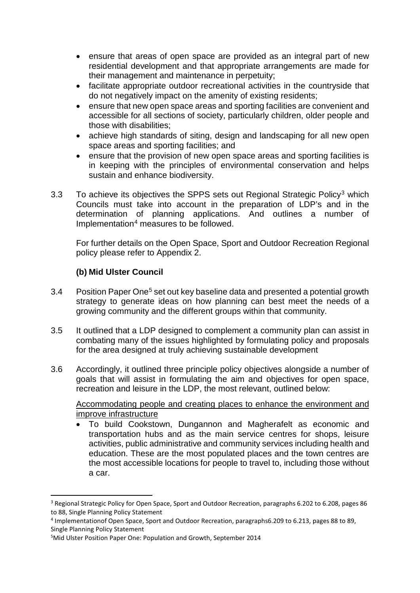- ensure that areas of open space are provided as an integral part of new residential development and that appropriate arrangements are made for their management and maintenance in perpetuity;
- facilitate appropriate outdoor recreational activities in the countryside that do not negatively impact on the amenity of existing residents;
- ensure that new open space areas and sporting facilities are convenient and accessible for all sections of society, particularly children, older people and those with disabilities;
- achieve high standards of siting, design and landscaping for all new open space areas and sporting facilities; and
- ensure that the provision of new open space areas and sporting facilities is in keeping with the principles of environmental conservation and helps sustain and enhance biodiversity.
- [3](#page-3-0).3 To achieve its objectives the SPPS sets out Regional Strategic Policy<sup>3</sup> which Councils must take into account in the preparation of LDP's and in the determination of planning applications. And outlines a number of Implementation[4](#page-3-1) measures to be followed.

For further details on the Open Space, Sport and Outdoor Recreation Regional policy please refer to Appendix 2.

# **(b) Mid Ulster Council**

- 3.4 Position Paper One<sup>[5](#page-3-2)</sup> set out key baseline data and presented a potential growth strategy to generate ideas on how planning can best meet the needs of a growing community and the different groups within that community.
- 3.5 It outlined that a LDP designed to complement a community plan can assist in combating many of the issues highlighted by formulating policy and proposals for the area designed at truly achieving sustainable development
- 3.6 Accordingly, it outlined three principle policy objectives alongside a number of goals that will assist in formulating the aim and objectives for open space, recreation and leisure in the LDP, the most relevant, outlined below:

Accommodating people and creating places to enhance the environment and improve infrastructure

• To build Cookstown, Dungannon and Magherafelt as economic and transportation hubs and as the main service centres for shops, leisure activities, public administrative and community services including health and education. These are the most populated places and the town centres are the most accessible locations for people to travel to, including those without a car.

<span id="page-3-0"></span><sup>&</sup>lt;sup>3</sup> Regional Strategic Policy for Open Space, Sport and Outdoor Recreation, paragraphs 6.202 to 6.208, pages 86 to 88, Single Planning Policy Statement

<span id="page-3-1"></span><sup>4</sup> Implementationof Open Space, Sport and Outdoor Recreation, paragraphs6.209 to 6.213, pages 88 to 89, Single Planning Policy Statement

<span id="page-3-2"></span><sup>5</sup> Mid Ulster Position Paper One: Population and Growth, September 2014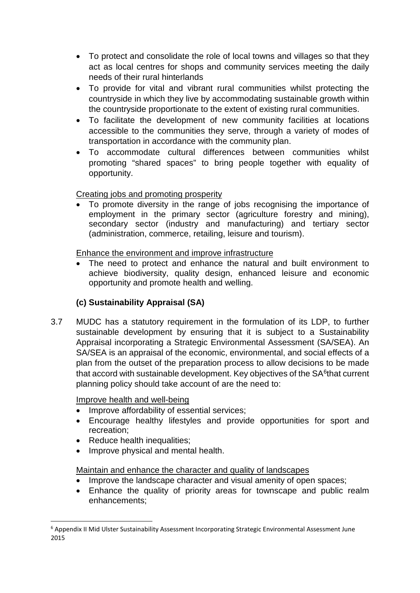- To protect and consolidate the role of local towns and villages so that they act as local centres for shops and community services meeting the daily needs of their rural hinterlands
- To provide for vital and vibrant rural communities whilst protecting the countryside in which they live by accommodating sustainable growth within the countryside proportionate to the extent of existing rural communities.
- To facilitate the development of new community facilities at locations accessible to the communities they serve, through a variety of modes of transportation in accordance with the community plan.
- To accommodate cultural differences between communities whilst promoting "shared spaces" to bring people together with equality of opportunity.

# Creating jobs and promoting prosperity

• To promote diversity in the range of jobs recognising the importance of employment in the primary sector (agriculture forestry and mining), secondary sector (industry and manufacturing) and tertiary sector (administration, commerce, retailing, leisure and tourism).

# Enhance the environment and improve infrastructure

The need to protect and enhance the natural and built environment to achieve biodiversity, quality design, enhanced leisure and economic opportunity and promote health and welling.

# **(c) Sustainability Appraisal (SA)**

3.7 MUDC has a statutory requirement in the formulation of its LDP, to further sustainable development by ensuring that it is subject to a Sustainability Appraisal incorporating a Strategic Environmental Assessment (SA/SEA). An SA/SEA is an appraisal of the economic, environmental, and social effects of a plan from the outset of the preparation process to allow decisions to be made that accord with sustainable development. Key objectives of the  $SA<sup>6</sup>$  $SA<sup>6</sup>$  $SA<sup>6</sup>$ that current planning policy should take account of are the need to:

# Improve health and well-being

- Improve affordability of essential services;
- Encourage healthy lifestyles and provide opportunities for sport and recreation;
- Reduce health inequalities;
- Improve physical and mental health.

# Maintain and enhance the character and quality of landscapes

- Improve the landscape character and visual amenity of open spaces;
- Enhance the quality of priority areas for townscape and public realm enhancements;

<span id="page-4-0"></span> <sup>6</sup> Appendix II Mid Ulster Sustainability Assessment Incorporating Strategic Environmental Assessment June 2015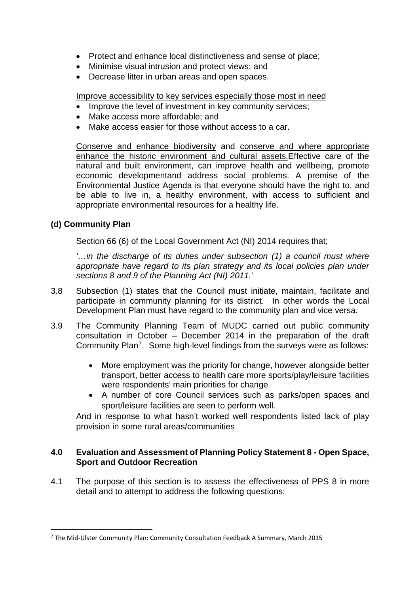- Protect and enhance local distinctiveness and sense of place;
- Minimise visual intrusion and protect views; and
- Decrease litter in urban areas and open spaces.

Improve accessibility to key services especially those most in need

- Improve the level of investment in key community services;
- Make access more affordable; and
- Make access easier for those without access to a car.

Conserve and enhance biodiversity and conserve and where appropriate enhance the historic environment and cultural assets.Effective care of the natural and built environment, can improve health and wellbeing, promote economic developmentand address social problems. A premise of the Environmental Justice Agenda is that everyone should have the right to, and be able to live in, a healthy environment, with access to sufficient and appropriate environmental resources for a healthy life.

# **(d) Community Plan**

Section 66 (6) of the Local Government Act (NI) 2014 requires that;

*'…in the discharge of its duties under subsection (1) a council must where appropriate have regard to its plan strategy and its local policies plan under sections 8 and 9 of the Planning Act (NI) 2011.'*

- 3.8 Subsection (1) states that the Council must initiate, maintain, facilitate and participate in community planning for its district. In other words the Local Development Plan must have regard to the community plan and vice versa.
- 3.9 The Community Planning Team of MUDC carried out public community consultation in October – December 2014 in the preparation of the draft Community Plan[7](#page-5-0). Some high-level findings from the surveys were as follows:
	- More employment was the priority for change, however alongside better transport, better access to health care more sports/play/leisure facilities were respondents' main priorities for change
	- A number of core Council services such as parks/open spaces and sport/leisure facilities are seen to perform well.

And in response to what hasn't worked well respondents listed lack of play provision in some rural areas/communities

## **4.0 Evaluation and Assessment of Planning Policy Statement 8 - Open Space, Sport and Outdoor Recreation**

4.1 The purpose of this section is to assess the effectiveness of PPS 8 in more detail and to attempt to address the following questions:

<span id="page-5-0"></span> <sup>7</sup> The Mid-Ulster Community Plan: Community Consultation Feedback A Summary, March 2015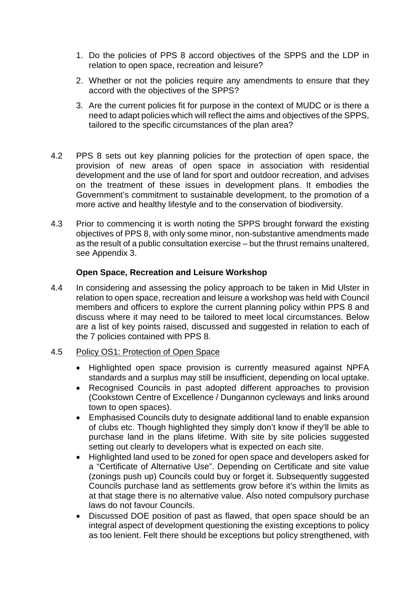- 1. Do the policies of PPS 8 accord objectives of the SPPS and the LDP in relation to open space, recreation and leisure?
- 2. Whether or not the policies require any amendments to ensure that they accord with the objectives of the SPPS?
- 3. Are the current policies fit for purpose in the context of MUDC or is there a need to adapt policies which will reflect the aims and objectives of the SPPS, tailored to the specific circumstances of the plan area?
- 4.2 PPS 8 sets out key planning policies for the protection of open space, the provision of new areas of open space in association with residential development and the use of land for sport and outdoor recreation, and advises on the treatment of these issues in development plans. It embodies the Government's commitment to sustainable development, to the promotion of a more active and healthy lifestyle and to the conservation of biodiversity.
- 4.3 Prior to commencing it is worth noting the SPPS brought forward the existing objectives of PPS 8, with only some minor, non-substantive amendments made as the result of a public consultation exercise – but the thrust remains unaltered, see Appendix 3.

## **Open Space, Recreation and Leisure Workshop**

4.4 In considering and assessing the policy approach to be taken in Mid Ulster in relation to open space, recreation and leisure a workshop was held with Council members and officers to explore the current planning policy within PPS 8 and discuss where it may need to be tailored to meet local circumstances. Below are a list of key points raised, discussed and suggested in relation to each of the 7 policies contained with PPS 8.

## 4.5 Policy OS1: Protection of Open Space

- Highlighted open space provision is currently measured against NPFA standards and a surplus may still be insufficient, depending on local uptake.
- Recognised Councils in past adopted different approaches to provision (Cookstown Centre of Excellence / Dungannon cycleways and links around town to open spaces).
- Emphasised Councils duty to designate additional land to enable expansion of clubs etc. Though highlighted they simply don't know if they'll be able to purchase land in the plans lifetime. With site by site policies suggested setting out clearly to developers what is expected on each site.
- Highlighted land used to be zoned for open space and developers asked for a "Certificate of Alternative Use". Depending on Certificate and site value (zonings push up) Councils could buy or forget it. Subsequently suggested Councils purchase land as settlements grow before it's within the limits as at that stage there is no alternative value. Also noted compulsory purchase laws do not favour Councils.
- Discussed DOE position of past as flawed, that open space should be an integral aspect of development questioning the existing exceptions to policy as too lenient. Felt there should be exceptions but policy strengthened, with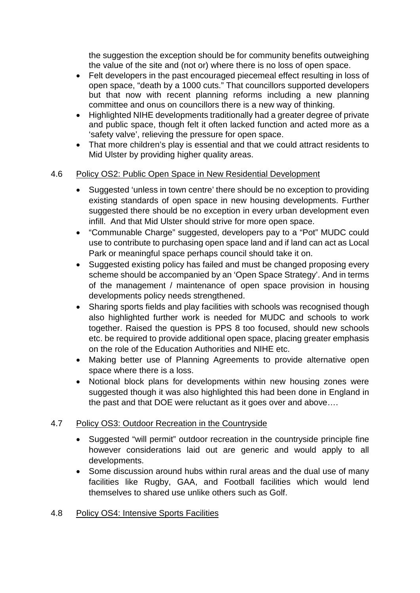the suggestion the exception should be for community benefits outweighing the value of the site and (not or) where there is no loss of open space.

- Felt developers in the past encouraged piecemeal effect resulting in loss of open space, "death by a 1000 cuts." That councillors supported developers but that now with recent planning reforms including a new planning committee and onus on councillors there is a new way of thinking.
- Highlighted NIHE developments traditionally had a greater degree of private and public space, though felt it often lacked function and acted more as a 'safety valve', relieving the pressure for open space.
- That more children's play is essential and that we could attract residents to Mid Ulster by providing higher quality areas.

# 4.6 Policy OS2: Public Open Space in New Residential Development

- Suggested 'unless in town centre' there should be no exception to providing existing standards of open space in new housing developments. Further suggested there should be no exception in every urban development even infill. And that Mid Ulster should strive for more open space.
- "Communable Charge" suggested, developers pay to a "Pot" MUDC could use to contribute to purchasing open space land and if land can act as Local Park or meaningful space perhaps council should take it on.
- Suggested existing policy has failed and must be changed proposing every scheme should be accompanied by an 'Open Space Strategy'. And in terms of the management / maintenance of open space provision in housing developments policy needs strengthened.
- Sharing sports fields and play facilities with schools was recognised though also highlighted further work is needed for MUDC and schools to work together. Raised the question is PPS 8 too focused, should new schools etc. be required to provide additional open space, placing greater emphasis on the role of the Education Authorities and NIHE etc.
- Making better use of Planning Agreements to provide alternative open space where there is a loss.
- Notional block plans for developments within new housing zones were suggested though it was also highlighted this had been done in England in the past and that DOE were reluctant as it goes over and above….

# 4.7 Policy OS3: Outdoor Recreation in the Countryside

- Suggested "will permit" outdoor recreation in the countryside principle fine however considerations laid out are generic and would apply to all developments.
- Some discussion around hubs within rural areas and the dual use of many facilities like Rugby, GAA, and Football facilities which would lend themselves to shared use unlike others such as Golf.

# 4.8 Policy OS4: Intensive Sports Facilities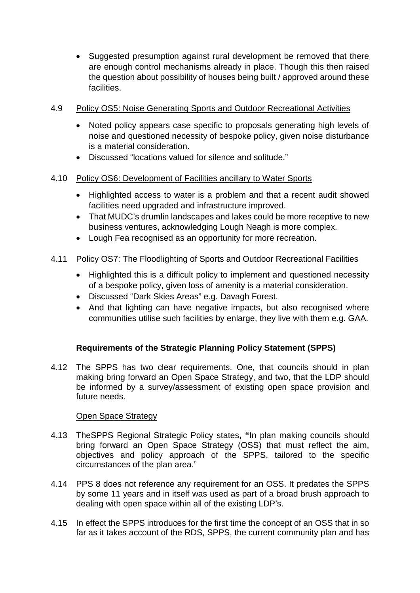• Suggested presumption against rural development be removed that there are enough control mechanisms already in place. Though this then raised the question about possibility of houses being built / approved around these facilities.

## 4.9 Policy OS5: Noise Generating Sports and Outdoor Recreational Activities

- Noted policy appears case specific to proposals generating high levels of noise and questioned necessity of bespoke policy, given noise disturbance is a material consideration.
- Discussed "locations valued for silence and solitude."

## 4.10 Policy OS6: Development of Facilities ancillary to Water Sports

- Highlighted access to water is a problem and that a recent audit showed facilities need upgraded and infrastructure improved.
- That MUDC's drumlin landscapes and lakes could be more receptive to new business ventures, acknowledging Lough Neagh is more complex.
- Lough Fea recognised as an opportunity for more recreation.

# 4.11 Policy OS7: The Floodlighting of Sports and Outdoor Recreational Facilities

- Highlighted this is a difficult policy to implement and questioned necessity of a bespoke policy, given loss of amenity is a material consideration.
- Discussed "Dark Skies Areas" e.g. Davagh Forest.
- And that lighting can have negative impacts, but also recognised where communities utilise such facilities by enlarge, they live with them e.g. GAA.

# **Requirements of the Strategic Planning Policy Statement (SPPS)**

4.12 The SPPS has two clear requirements. One, that councils should in plan making bring forward an Open Space Strategy, and two, that the LDP should be informed by a survey/assessment of existing open space provision and future needs.

# Open Space Strategy

- 4.13 TheSPPS Regional Strategic Policy states**, "**In plan making councils should bring forward an Open Space Strategy (OSS) that must reflect the aim, objectives and policy approach of the SPPS, tailored to the specific circumstances of the plan area."
- 4.14 PPS 8 does not reference any requirement for an OSS. It predates the SPPS by some 11 years and in itself was used as part of a broad brush approach to dealing with open space within all of the existing LDP's.
- 4.15 In effect the SPPS introduces for the first time the concept of an OSS that in so far as it takes account of the RDS, SPPS, the current community plan and has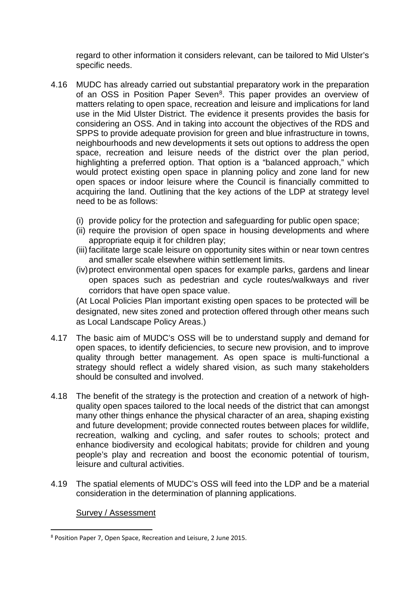regard to other information it considers relevant, can be tailored to Mid Ulster's specific needs.

- 4.16 MUDC has already carried out substantial preparatory work in the preparation of an OSS in Position Paper Seven<sup>[8](#page-9-0)</sup>. This paper provides an overview of matters relating to open space, recreation and leisure and implications for land use in the Mid Ulster District. The evidence it presents provides the basis for considering an OSS. And in taking into account the objectives of the RDS and SPPS to provide adequate provision for green and blue infrastructure in towns, neighbourhoods and new developments it sets out options to address the open space, recreation and leisure needs of the district over the plan period, highlighting a preferred option. That option is a "balanced approach," which would protect existing open space in planning policy and zone land for new open spaces or indoor leisure where the Council is financially committed to acquiring the land. Outlining that the key actions of the LDP at strategy level need to be as follows:
	- (i) provide policy for the protection and safeguarding for public open space;
	- (ii) require the provision of open space in housing developments and where appropriate equip it for children play;
	- (iii) facilitate large scale leisure on opportunity sites within or near town centres and smaller scale elsewhere within settlement limits.
	- (iv)protect environmental open spaces for example parks, gardens and linear open spaces such as pedestrian and cycle routes/walkways and river corridors that have open space value.

(At Local Policies Plan important existing open spaces to be protected will be designated, new sites zoned and protection offered through other means such as Local Landscape Policy Areas.)

- 4.17 The basic aim of MUDC's OSS will be to understand supply and demand for open spaces, to identify deficiencies, to secure new provision, and to improve quality through better management. As open space is multi-functional a strategy should reflect a widely shared vision, as such many stakeholders should be consulted and involved.
- 4.18 The benefit of the strategy is the protection and creation of a network of highquality open spaces tailored to the local needs of the district that can amongst many other things enhance the physical character of an area, shaping existing and future development; provide connected routes between places for wildlife, recreation, walking and cycling, and safer routes to schools; protect and enhance biodiversity and ecological habitats; provide for children and young people's play and recreation and boost the economic potential of tourism, leisure and cultural activities.
- 4.19 The spatial elements of MUDC's OSS will feed into the LDP and be a material consideration in the determination of planning applications.

## Survey / Assessment

<span id="page-9-0"></span> <sup>8</sup> Position Paper 7, Open Space, Recreation and Leisure, 2 June 2015.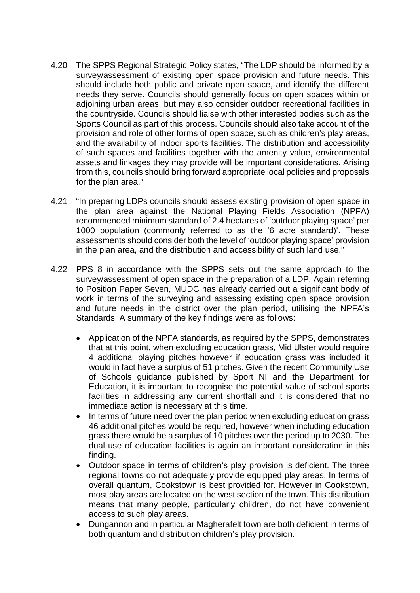- 4.20 The SPPS Regional Strategic Policy states, "The LDP should be informed by a survey/assessment of existing open space provision and future needs. This should include both public and private open space, and identify the different needs they serve. Councils should generally focus on open spaces within or adjoining urban areas, but may also consider outdoor recreational facilities in the countryside. Councils should liaise with other interested bodies such as the Sports Council as part of this process. Councils should also take account of the provision and role of other forms of open space, such as children's play areas, and the availability of indoor sports facilities. The distribution and accessibility of such spaces and facilities together with the amenity value, environmental assets and linkages they may provide will be important considerations. Arising from this, councils should bring forward appropriate local policies and proposals for the plan area."
- 4.21 "In preparing LDPs councils should assess existing provision of open space in the plan area against the National Playing Fields Association (NPFA) recommended minimum standard of 2.4 hectares of 'outdoor playing space' per 1000 population (commonly referred to as the '6 acre standard)'. These assessments should consider both the level of 'outdoor playing space' provision in the plan area, and the distribution and accessibility of such land use."
- 4.22 PPS 8 in accordance with the SPPS sets out the same approach to the survey/assessment of open space in the preparation of a LDP. Again referring to Position Paper Seven, MUDC has already carried out a significant body of work in terms of the surveying and assessing existing open space provision and future needs in the district over the plan period, utilising the NPFA's Standards. A summary of the key findings were as follows:
	- Application of the NPFA standards, as required by the SPPS, demonstrates that at this point, when excluding education grass, Mid Ulster would require 4 additional playing pitches however if education grass was included it would in fact have a surplus of 51 pitches. Given the recent Community Use of Schools guidance published by Sport NI and the Department for Education, it is important to recognise the potential value of school sports facilities in addressing any current shortfall and it is considered that no immediate action is necessary at this time.
	- In terms of future need over the plan period when excluding education grass 46 additional pitches would be required, however when including education grass there would be a surplus of 10 pitches over the period up to 2030. The dual use of education facilities is again an important consideration in this finding.
	- Outdoor space in terms of children's play provision is deficient. The three regional towns do not adequately provide equipped play areas. In terms of overall quantum, Cookstown is best provided for. However in Cookstown, most play areas are located on the west section of the town. This distribution means that many people, particularly children, do not have convenient access to such play areas.
	- Dungannon and in particular Magherafelt town are both deficient in terms of both quantum and distribution children's play provision.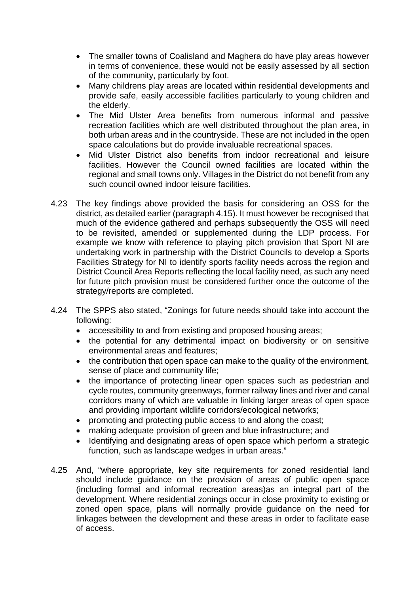- The smaller towns of Coalisland and Maghera do have play areas however in terms of convenience, these would not be easily assessed by all section of the community, particularly by foot.
- Many childrens play areas are located within residential developments and provide safe, easily accessible facilities particularly to young children and the elderly.
- The Mid Ulster Area benefits from numerous informal and passive recreation facilities which are well distributed throughout the plan area, in both urban areas and in the countryside. These are not included in the open space calculations but do provide invaluable recreational spaces.
- Mid Ulster District also benefits from indoor recreational and leisure facilities. However the Council owned facilities are located within the regional and small towns only. Villages in the District do not benefit from any such council owned indoor leisure facilities.
- 4.23 The key findings above provided the basis for considering an OSS for the district, as detailed earlier (paragraph 4.15). It must however be recognised that much of the evidence gathered and perhaps subsequently the OSS will need to be revisited, amended or supplemented during the LDP process. For example we know with reference to playing pitch provision that Sport NI are undertaking work in partnership with the District Councils to develop a Sports Facilities Strategy for NI to identify sports facility needs across the region and District Council Area Reports reflecting the local facility need, as such any need for future pitch provision must be considered further once the outcome of the strategy/reports are completed.
- 4.24 The SPPS also stated, "Zonings for future needs should take into account the following:
	- accessibility to and from existing and proposed housing areas;
	- the potential for any detrimental impact on biodiversity or on sensitive environmental areas and features;
	- the contribution that open space can make to the quality of the environment, sense of place and community life;
	- the importance of protecting linear open spaces such as pedestrian and cycle routes, community greenways, former railway lines and river and canal corridors many of which are valuable in linking larger areas of open space and providing important wildlife corridors/ecological networks;
	- promoting and protecting public access to and along the coast;
	- making adequate provision of green and blue infrastructure; and
	- Identifying and designating areas of open space which perform a strategic function, such as landscape wedges in urban areas."
- 4.25 And, "where appropriate, key site requirements for zoned residential land should include guidance on the provision of areas of public open space (including formal and informal recreation areas)as an integral part of the development. Where residential zonings occur in close proximity to existing or zoned open space, plans will normally provide guidance on the need for linkages between the development and these areas in order to facilitate ease of access.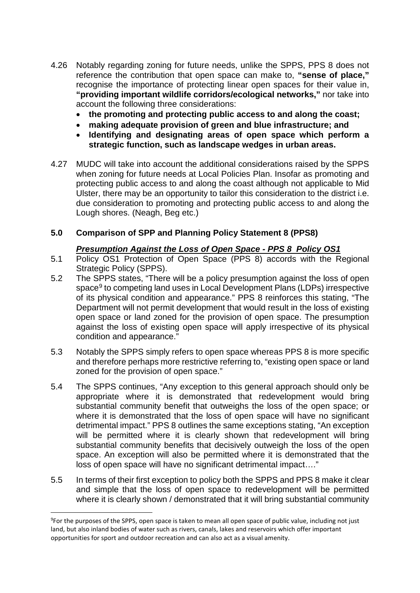- 4.26 Notably regarding zoning for future needs, unlike the SPPS, PPS 8 does not reference the contribution that open space can make to, **"sense of place,"** recognise the importance of protecting linear open spaces for their value in, **"providing important wildlife corridors/ecological networks,"** nor take into account the following three considerations:
	- **the promoting and protecting public access to and along the coast;**
	- **making adequate provision of green and blue infrastructure; and**
	- **Identifying and designating areas of open space which perform a strategic function, such as landscape wedges in urban areas.**
- 4.27 MUDC will take into account the additional considerations raised by the SPPS when zoning for future needs at Local Policies Plan. Insofar as promoting and protecting public access to and along the coast although not applicable to Mid Ulster, there may be an opportunity to tailor this consideration to the district i.e. due consideration to promoting and protecting public access to and along the Lough shores. (Neagh, Beg etc.)

# **5.0 Comparison of SPP and Planning Policy Statement 8 (PPS8)**

# *Presumption Against the Loss of Open Space - PPS 8 Policy OS1*

- 5.1 Policy OS1 Protection of Open Space (PPS 8) accords with the Regional Strategic Policy (SPPS).
- 5.2 The SPPS states, "There will be a policy presumption against the loss of open space<sup>[9](#page-12-0)</sup> to competing land uses in Local Development Plans (LDPs) irrespective of its physical condition and appearance." PPS 8 reinforces this stating, "The Department will not permit development that would result in the loss of existing open space or land zoned for the provision of open space. The presumption against the loss of existing open space will apply irrespective of its physical condition and appearance."
- 5.3 Notably the SPPS simply refers to open space whereas PPS 8 is more specific and therefore perhaps more restrictive referring to, "existing open space or land zoned for the provision of open space."
- 5.4 The SPPS continues, "Any exception to this general approach should only be appropriate where it is demonstrated that redevelopment would bring substantial community benefit that outweighs the loss of the open space; or where it is demonstrated that the loss of open space will have no significant detrimental impact." PPS 8 outlines the same exceptions stating, "An exception will be permitted where it is clearly shown that redevelopment will bring substantial community benefits that decisively outweigh the loss of the open space. An exception will also be permitted where it is demonstrated that the loss of open space will have no significant detrimental impact…."
- 5.5 In terms of their first exception to policy both the SPPS and PPS 8 make it clear and simple that the loss of open space to redevelopment will be permitted where it is clearly shown / demonstrated that it will bring substantial community

<span id="page-12-0"></span><sup>–&</sup>lt;br>9 <sup>9</sup>For the purposes of the SPPS, open space is taken to mean all open space of public value, including not just land, but also inland bodies of water such as rivers, canals, lakes and reservoirs which offer important opportunities for sport and outdoor recreation and can also act as a visual amenity.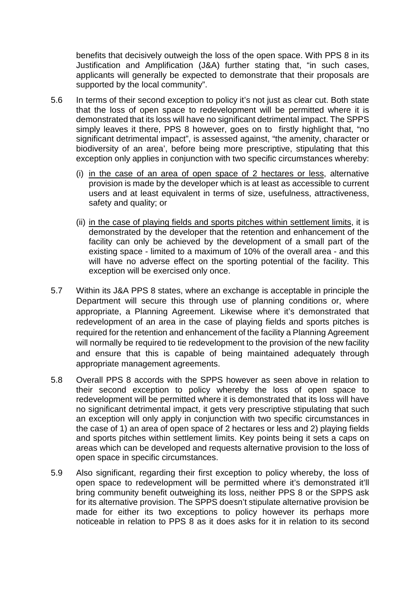benefits that decisively outweigh the loss of the open space. With PPS 8 in its Justification and Amplification (J&A) further stating that, "in such cases, applicants will generally be expected to demonstrate that their proposals are supported by the local community".

- 5.6 In terms of their second exception to policy it's not just as clear cut. Both state that the loss of open space to redevelopment will be permitted where it is demonstrated that its loss will have no significant detrimental impact. The SPPS simply leaves it there, PPS 8 however, goes on to firstly highlight that, "no significant detrimental impact", is assessed against, "the amenity, character or biodiversity of an area', before being more prescriptive, stipulating that this exception only applies in conjunction with two specific circumstances whereby:
	- (i) in the case of an area of open space of 2 hectares or less, alternative provision is made by the developer which is at least as accessible to current users and at least equivalent in terms of size, usefulness, attractiveness, safety and quality; or
	- (ii) in the case of playing fields and sports pitches within settlement limits, it is demonstrated by the developer that the retention and enhancement of the facility can only be achieved by the development of a small part of the existing space - limited to a maximum of 10% of the overall area - and this will have no adverse effect on the sporting potential of the facility. This exception will be exercised only once.
- 5.7 Within its J&A PPS 8 states, where an exchange is acceptable in principle the Department will secure this through use of planning conditions or, where appropriate, a Planning Agreement. Likewise where it's demonstrated that redevelopment of an area in the case of playing fields and sports pitches is required for the retention and enhancement of the facility a Planning Agreement will normally be required to tie redevelopment to the provision of the new facility and ensure that this is capable of being maintained adequately through appropriate management agreements.
- 5.8 Overall PPS 8 accords with the SPPS however as seen above in relation to their second exception to policy whereby the loss of open space to redevelopment will be permitted where it is demonstrated that its loss will have no significant detrimental impact, it gets very prescriptive stipulating that such an exception will only apply in conjunction with two specific circumstances in the case of 1) an area of open space of 2 hectares or less and 2) playing fields and sports pitches within settlement limits. Key points being it sets a caps on areas which can be developed and requests alternative provision to the loss of open space in specific circumstances.
- 5.9 Also significant, regarding their first exception to policy whereby, the loss of open space to redevelopment will be permitted where it's demonstrated it'll bring community benefit outweighing its loss, neither PPS 8 or the SPPS ask for its alternative provision. The SPPS doesn't stipulate alternative provision be made for either its two exceptions to policy however its perhaps more noticeable in relation to PPS 8 as it does asks for it in relation to its second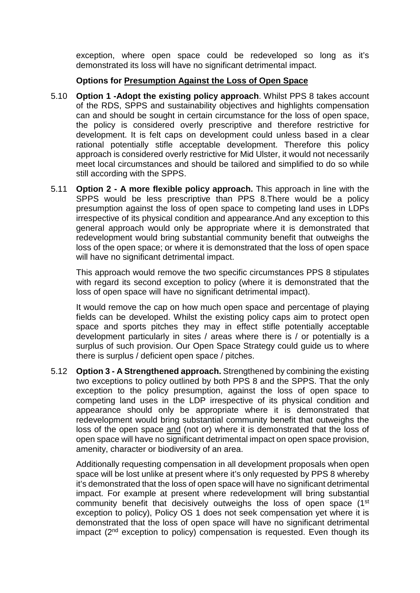exception, where open space could be redeveloped so long as it's demonstrated its loss will have no significant detrimental impact.

## **Options for Presumption Against the Loss of Open Space**

- 5.10 **Option 1 -Adopt the existing policy approach**. Whilst PPS 8 takes account of the RDS, SPPS and sustainability objectives and highlights compensation can and should be sought in certain circumstance for the loss of open space, the policy is considered overly prescriptive and therefore restrictive for development. It is felt caps on development could unless based in a clear rational potentially stifle acceptable development. Therefore this policy approach is considered overly restrictive for Mid Ulster, it would not necessarily meet local circumstances and should be tailored and simplified to do so while still according with the SPPS.
- 5.11 **Option 2 - A more flexible policy approach.** This approach in line with the SPPS would be less prescriptive than PPS 8.There would be a policy presumption against the loss of open space to competing land uses in LDPs irrespective of its physical condition and appearance.And any exception to this general approach would only be appropriate where it is demonstrated that redevelopment would bring substantial community benefit that outweighs the loss of the open space; or where it is demonstrated that the loss of open space will have no significant detrimental impact.

This approach would remove the two specific circumstances PPS 8 stipulates with regard its second exception to policy (where it is demonstrated that the loss of open space will have no significant detrimental impact).

It would remove the cap on how much open space and percentage of playing fields can be developed. Whilst the existing policy caps aim to protect open space and sports pitches they may in effect stifle potentially acceptable development particularly in sites / areas where there is / or potentially is a surplus of such provision. Our Open Space Strategy could guide us to where there is surplus / deficient open space / pitches.

5.12 **Option 3 - A Strengthened approach.** Strengthened by combining the existing two exceptions to policy outlined by both PPS 8 and the SPPS. That the only exception to the policy presumption, against the loss of open space to competing land uses in the LDP irrespective of its physical condition and appearance should only be appropriate where it is demonstrated that redevelopment would bring substantial community benefit that outweighs the loss of the open space and (not or) where it is demonstrated that the loss of open space will have no significant detrimental impact on open space provision, amenity, character or biodiversity of an area.

Additionally requesting compensation in all development proposals when open space will be lost unlike at present where it's only requested by PPS 8 whereby it's demonstrated that the loss of open space will have no significant detrimental impact. For example at present where redevelopment will bring substantial community benefit that decisively outweighs the loss of open space (1<sup>st</sup>) exception to policy), Policy OS 1 does not seek compensation yet where it is demonstrated that the loss of open space will have no significant detrimental impact (2<sup>nd</sup> exception to policy) compensation is requested. Even though its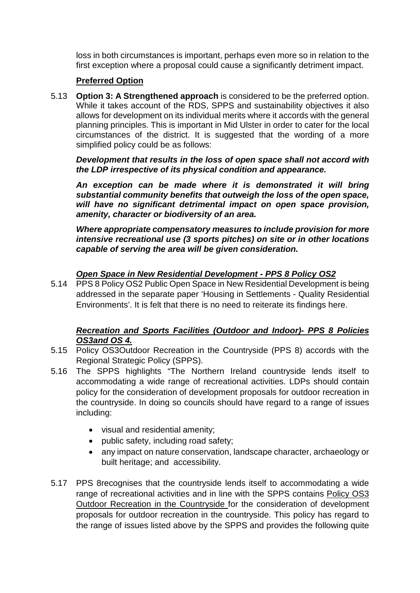loss in both circumstances is important, perhaps even more so in relation to the first exception where a proposal could cause a significantly detriment impact.

# **Preferred Option**

5.13 **Option 3: A Strengthened approach** is considered to be the preferred option. While it takes account of the RDS, SPPS and sustainability objectives it also allows for development on its individual merits where it accords with the general planning principles. This is important in Mid Ulster in order to cater for the local circumstances of the district. It is suggested that the wording of a more simplified policy could be as follows:

*Development that results in the loss of open space shall not accord with the LDP irrespective of its physical condition and appearance.*

*An exception can be made where it is demonstrated it will bring substantial community benefits that outweigh the loss of the open space, will have no significant detrimental impact on open space provision, amenity, character or biodiversity of an area.*

*Where appropriate compensatory measures to include provision for more intensive recreational use (3 sports pitches) on site or in other locations capable of serving the area will be given consideration.*

# *Open Space in New Residential Development - PPS 8 Policy OS2*

5.14 PPS 8 Policy OS2 Public Open Space in New Residential Development is being addressed in the separate paper 'Housing in Settlements - Quality Residential Environments'. It is felt that there is no need to reiterate its findings here.

## *Recreation and Sports Facilities (Outdoor and Indoor)- PPS 8 Policies OS3and OS 4.*

- 5.15 Policy OS3Outdoor Recreation in the Countryside (PPS 8) accords with the Regional Strategic Policy (SPPS).
- 5.16 The SPPS highlights "The Northern Ireland countryside lends itself to accommodating a wide range of recreational activities. LDPs should contain policy for the consideration of development proposals for outdoor recreation in the countryside. In doing so councils should have regard to a range of issues including:
	- visual and residential amenity;
	- public safety, including road safety;
	- any impact on nature conservation, landscape character, archaeology or built heritage; and accessibility.
- 5.17 PPS 8recognises that the countryside lends itself to accommodating a wide range of recreational activities and in line with the SPPS contains Policy OS3 Outdoor Recreation in the Countryside for the consideration of development proposals for outdoor recreation in the countryside. This policy has regard to the range of issues listed above by the SPPS and provides the following quite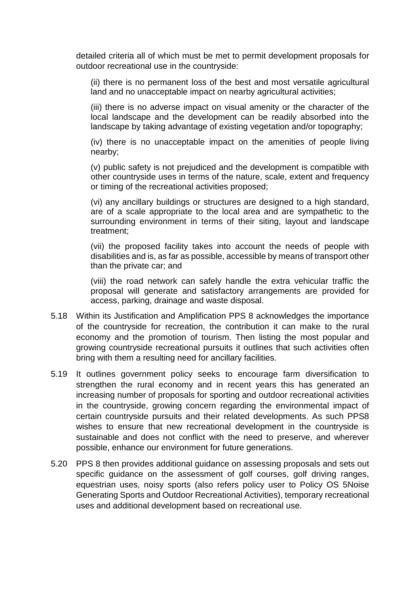detailed criteria all of which must be met to permit development proposals for outdoor recreational use in the countryside:

(ii) there is no permanent loss of the best and most versatile agricultural land and no unacceptable impact on nearby agricultural activities;

(iii) there is no adverse impact on visual amenity or the character of the local landscape and the development can be readily absorbed into the landscape by taking advantage of existing vegetation and/or topography;

(iv) there is no unacceptable impact on the amenities of people living nearby;

(v) public safety is not prejudiced and the development is compatible with other countryside uses in terms of the nature, scale, extent and frequency or timing of the recreational activities proposed;

(vi) any ancillary buildings or structures are designed to a high standard, are of a scale appropriate to the local area and are sympathetic to the surrounding environment in terms of their siting, layout and landscape treatment;

(vii) the proposed facility takes into account the needs of people with disabilities and is, as far as possible, accessible by means of transport other than the private car; and

(viii) the road network can safely handle the extra vehicular traffic the proposal will generate and satisfactory arrangements are provided for access, parking, drainage and waste disposal.

- 5.18 Within its Justification and Amplification PPS 8 acknowledges the importance of the countryside for recreation, the contribution it can make to the rural economy and the promotion of tourism. Then listing the most popular and growing countryside recreational pursuits it outlines that such activities often bring with them a resulting need for ancillary facilities.
- 5.19 It outlines government policy seeks to encourage farm diversification to strengthen the rural economy and in recent years this has generated an increasing number of proposals for sporting and outdoor recreational activities in the countryside, growing concern regarding the environmental impact of certain countryside pursuits and their related developments. As such PPS8 wishes to ensure that new recreational development in the countryside is sustainable and does not conflict with the need to preserve, and wherever possible, enhance our environment for future generations.
- 5.20 PPS 8 then provides additional guidance on assessing proposals and sets out specific guidance on the assessment of golf courses, golf driving ranges, equestrian uses, noisy sports (also refers policy user to Policy OS 5Noise Generating Sports and Outdoor Recreational Activities), temporary recreational uses and additional development based on recreational use.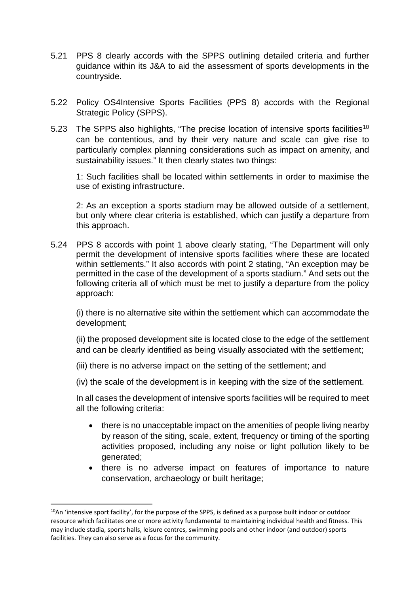- 5.21 PPS 8 clearly accords with the SPPS outlining detailed criteria and further guidance within its J&A to aid the assessment of sports developments in the countryside.
- 5.22 Policy OS4Intensive Sports Facilities (PPS 8) accords with the Regional Strategic Policy (SPPS).
- 5.23 The SPPS also highlights, "The precise location of intensive sports facilities<sup>[10](#page-17-0)</sup> can be contentious, and by their very nature and scale can give rise to particularly complex planning considerations such as impact on amenity, and sustainability issues." It then clearly states two things:

1: Such facilities shall be located within settlements in order to maximise the use of existing infrastructure.

2: As an exception a sports stadium may be allowed outside of a settlement, but only where clear criteria is established, which can justify a departure from this approach.

5.24 PPS 8 accords with point 1 above clearly stating, "The Department will only permit the development of intensive sports facilities where these are located within settlements." It also accords with point 2 stating, "An exception may be permitted in the case of the development of a sports stadium." And sets out the following criteria all of which must be met to justify a departure from the policy approach:

(i) there is no alternative site within the settlement which can accommodate the development;

(ii) the proposed development site is located close to the edge of the settlement and can be clearly identified as being visually associated with the settlement;

(iii) there is no adverse impact on the setting of the settlement; and

(iv) the scale of the development is in keeping with the size of the settlement.

In all cases the development of intensive sports facilities will be required to meet all the following criteria:

- there is no unacceptable impact on the amenities of people living nearby by reason of the siting, scale, extent, frequency or timing of the sporting activities proposed, including any noise or light pollution likely to be generated;
- there is no adverse impact on features of importance to nature conservation, archaeology or built heritage;

<span id="page-17-0"></span><sup>&</sup>lt;sup>10</sup>An 'intensive sport facility', for the purpose of the SPPS, is defined as a purpose built indoor or outdoor resource which facilitates one or more activity fundamental to maintaining individual health and fitness. This may include stadia, sports halls, leisure centres, swimming pools and other indoor (and outdoor) sports facilities. They can also serve as a focus for the community.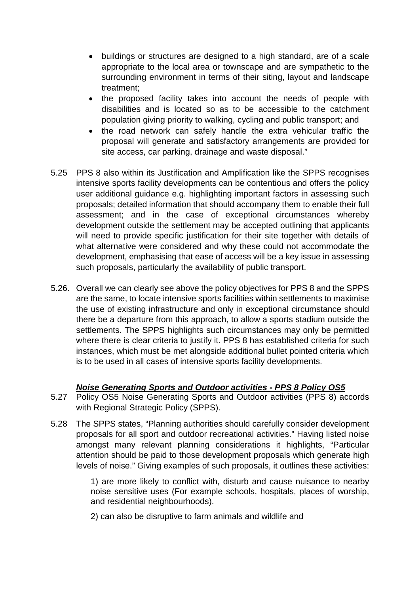- buildings or structures are designed to a high standard, are of a scale appropriate to the local area or townscape and are sympathetic to the surrounding environment in terms of their siting, layout and landscape treatment;
- the proposed facility takes into account the needs of people with disabilities and is located so as to be accessible to the catchment population giving priority to walking, cycling and public transport; and
- the road network can safely handle the extra vehicular traffic the proposal will generate and satisfactory arrangements are provided for site access, car parking, drainage and waste disposal."
- 5.25 PPS 8 also within its Justification and Amplification like the SPPS recognises intensive sports facility developments can be contentious and offers the policy user additional guidance e.g. highlighting important factors in assessing such proposals; detailed information that should accompany them to enable their full assessment; and in the case of exceptional circumstances whereby development outside the settlement may be accepted outlining that applicants will need to provide specific justification for their site together with details of what alternative were considered and why these could not accommodate the development, emphasising that ease of access will be a key issue in assessing such proposals, particularly the availability of public transport.
- 5.26. Overall we can clearly see above the policy objectives for PPS 8 and the SPPS are the same, to locate intensive sports facilities within settlements to maximise the use of existing infrastructure and only in exceptional circumstance should there be a departure from this approach, to allow a sports stadium outside the settlements. The SPPS highlights such circumstances may only be permitted where there is clear criteria to justify it. PPS 8 has established criteria for such instances, which must be met alongside additional bullet pointed criteria which is to be used in all cases of intensive sports facility developments.

# *Noise Generating Sports and Outdoor activities - PPS 8 Policy OS5*

- 5.27 Policy OS5 Noise Generating Sports and Outdoor activities (PPS 8) accords with Regional Strategic Policy (SPPS).
- 5.28 The SPPS states, "Planning authorities should carefully consider development proposals for all sport and outdoor recreational activities." Having listed noise amongst many relevant planning considerations it highlights, "Particular attention should be paid to those development proposals which generate high levels of noise." Giving examples of such proposals, it outlines these activities:

1) are more likely to conflict with, disturb and cause nuisance to nearby noise sensitive uses (For example schools, hospitals, places of worship, and residential neighbourhoods).

2) can also be disruptive to farm animals and wildlife and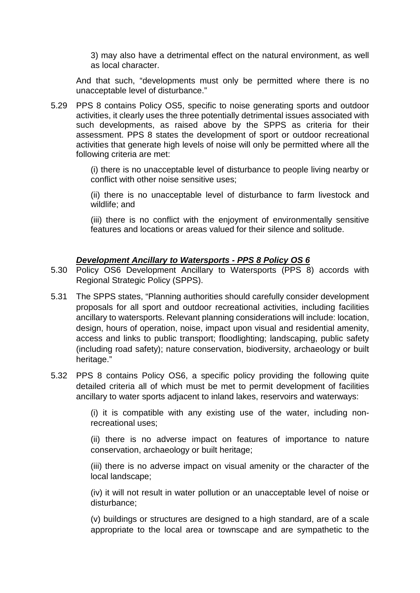3) may also have a detrimental effect on the natural environment, as well as local character.

And that such, "developments must only be permitted where there is no unacceptable level of disturbance."

5.29 PPS 8 contains Policy OS5, specific to noise generating sports and outdoor activities, it clearly uses the three potentially detrimental issues associated with such developments, as raised above by the SPPS as criteria for their assessment. PPS 8 states the development of sport or outdoor recreational activities that generate high levels of noise will only be permitted where all the following criteria are met:

> (i) there is no unacceptable level of disturbance to people living nearby or conflict with other noise sensitive uses;

> (ii) there is no unacceptable level of disturbance to farm livestock and wildlife; and

> (iii) there is no conflict with the enjoyment of environmentally sensitive features and locations or areas valued for their silence and solitude.

## *Development Ancillary to Watersports - PPS 8 Policy OS 6*

- 5.30 Policy OS6 Development Ancillary to Watersports (PPS 8) accords with Regional Strategic Policy (SPPS).
- 5.31 The SPPS states, "Planning authorities should carefully consider development proposals for all sport and outdoor recreational activities, including facilities ancillary to watersports. Relevant planning considerations will include: location, design, hours of operation, noise, impact upon visual and residential amenity, access and links to public transport; floodlighting; landscaping, public safety (including road safety); nature conservation, biodiversity, archaeology or built heritage."
- 5.32 PPS 8 contains Policy OS6, a specific policy providing the following quite detailed criteria all of which must be met to permit development of facilities ancillary to water sports adjacent to inland lakes, reservoirs and waterways:

(i) it is compatible with any existing use of the water, including nonrecreational uses;

(ii) there is no adverse impact on features of importance to nature conservation, archaeology or built heritage;

(iii) there is no adverse impact on visual amenity or the character of the local landscape;

(iv) it will not result in water pollution or an unacceptable level of noise or disturbance;

(v) buildings or structures are designed to a high standard, are of a scale appropriate to the local area or townscape and are sympathetic to the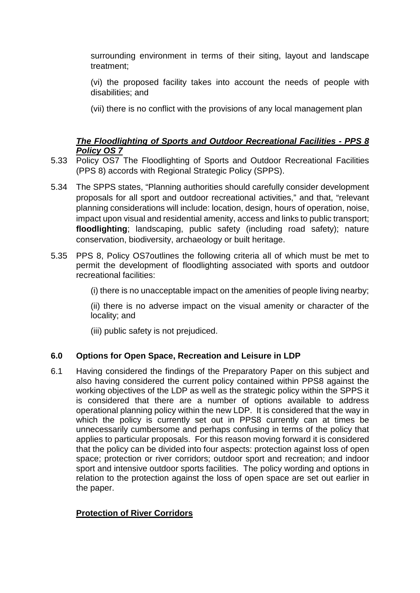surrounding environment in terms of their siting, layout and landscape treatment;

(vi) the proposed facility takes into account the needs of people with disabilities; and

(vii) there is no conflict with the provisions of any local management plan

# *The Floodlighting of Sports and Outdoor Recreational Facilities - PPS 8 Policy OS 7*

- 5.33 Policy OS7 The Floodlighting of Sports and Outdoor Recreational Facilities (PPS 8) accords with Regional Strategic Policy (SPPS).
- 5.34 The SPPS states, "Planning authorities should carefully consider development proposals for all sport and outdoor recreational activities," and that, "relevant planning considerations will include: location, design, hours of operation, noise, impact upon visual and residential amenity, access and links to public transport; **floodlighting**; landscaping, public safety (including road safety); nature conservation, biodiversity, archaeology or built heritage.
- 5.35 PPS 8, Policy OS7outlines the following criteria all of which must be met to permit the development of floodlighting associated with sports and outdoor recreational facilities:

(i) there is no unacceptable impact on the amenities of people living nearby;

(ii) there is no adverse impact on the visual amenity or character of the locality; and

(iii) public safety is not prejudiced.

# **6.0 Options for Open Space, Recreation and Leisure in LDP**

6.1 Having considered the findings of the Preparatory Paper on this subject and also having considered the current policy contained within PPS8 against the working objectives of the LDP as well as the strategic policy within the SPPS it is considered that there are a number of options available to address operational planning policy within the new LDP. It is considered that the way in which the policy is currently set out in PPS8 currently can at times be unnecessarily cumbersome and perhaps confusing in terms of the policy that applies to particular proposals. For this reason moving forward it is considered that the policy can be divided into four aspects: protection against loss of open space; protection or river corridors; outdoor sport and recreation; and indoor sport and intensive outdoor sports facilities. The policy wording and options in relation to the protection against the loss of open space are set out earlier in the paper.

# **Protection of River Corridors**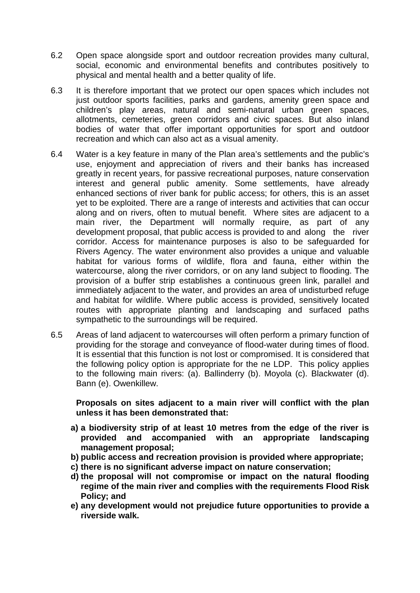- 6.2 Open space alongside sport and outdoor recreation provides many cultural, social, economic and environmental benefits and contributes positively to physical and mental health and a better quality of life.
- 6.3 It is therefore important that we protect our open spaces which includes not just outdoor sports facilities, parks and gardens, amenity green space and children's play areas, natural and semi-natural urban green spaces, allotments, cemeteries, green corridors and civic spaces. But also inland bodies of water that offer important opportunities for sport and outdoor recreation and which can also act as a visual amenity.
- 6.4 Water is a key feature in many of the Plan area's settlements and the public's use, enjoyment and appreciation of rivers and their banks has increased greatly in recent years, for passive recreational purposes, nature conservation interest and general public amenity. Some settlements, have already enhanced sections of river bank for public access; for others, this is an asset yet to be exploited. There are a range of interests and activities that can occur along and on rivers, often to mutual benefit. Where sites are adjacent to a main river, the Department will normally require, as part of any development proposal, that public access is provided to and along the river corridor. Access for maintenance purposes is also to be safeguarded for Rivers Agency. The water environment also provides a unique and valuable habitat for various forms of wildlife, flora and fauna, either within the watercourse, along the river corridors, or on any land subject to flooding. The provision of a buffer strip establishes a continuous green link, parallel and immediately adjacent to the water, and provides an area of undisturbed refuge and habitat for wildlife. Where public access is provided, sensitively located routes with appropriate planting and landscaping and surfaced paths sympathetic to the surroundings will be required.
- 6.5 Areas of land adjacent to watercourses will often perform a primary function of providing for the storage and conveyance of flood-water during times of flood. It is essential that this function is not lost or compromised. It is considered that the following policy option is appropriate for the ne LDP. This policy applies to the following main rivers: (a). Ballinderry (b). Moyola (c). Blackwater (d). Bann (e). Owenkillew.

**Proposals on sites adjacent to a main river will conflict with the plan unless it has been demonstrated that:**

- **a) a biodiversity strip of at least 10 metres from the edge of the river is provided and accompanied with an appropriate landscaping management proposal;**
- **b) public access and recreation provision is provided where appropriate;**
- **c) there is no significant adverse impact on nature conservation;**
- **d) the proposal will not compromise or impact on the natural flooding regime of the main river and complies with the requirements Flood Risk Policy; and**
- **e) any development would not prejudice future opportunities to provide a riverside walk.**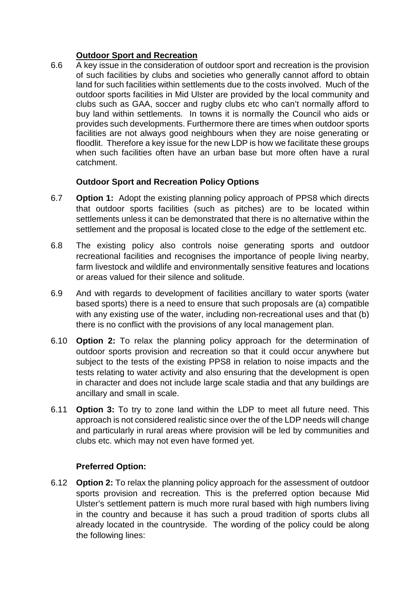# **Outdoor Sport and Recreation**

6.6 A key issue in the consideration of outdoor sport and recreation is the provision of such facilities by clubs and societies who generally cannot afford to obtain land for such facilities within settlements due to the costs involved. Much of the outdoor sports facilities in Mid Ulster are provided by the local community and clubs such as GAA, soccer and rugby clubs etc who can't normally afford to buy land within settlements. In towns it is normally the Council who aids or provides such developments. Furthermore there are times when outdoor sports facilities are not always good neighbours when they are noise generating or floodlit. Therefore a key issue for the new LDP is how we facilitate these groups when such facilities often have an urban base but more often have a rural catchment.

# **Outdoor Sport and Recreation Policy Options**

- 6.7 **Option 1:** Adopt the existing planning policy approach of PPS8 which directs that outdoor sports facilities (such as pitches) are to be located within settlements unless it can be demonstrated that there is no alternative within the settlement and the proposal is located close to the edge of the settlement etc.
- 6.8 The existing policy also controls noise generating sports and outdoor recreational facilities and recognises the importance of people living nearby, farm livestock and wildlife and environmentally sensitive features and locations or areas valued for their silence and solitude.
- 6.9 And with regards to development of facilities ancillary to water sports (water based sports) there is a need to ensure that such proposals are (a) compatible with any existing use of the water, including non-recreational uses and that (b) there is no conflict with the provisions of any local management plan.
- 6.10 **Option 2:** To relax the planning policy approach for the determination of outdoor sports provision and recreation so that it could occur anywhere but subject to the tests of the existing PPS8 in relation to noise impacts and the tests relating to water activity and also ensuring that the development is open in character and does not include large scale stadia and that any buildings are ancillary and small in scale.
- 6.11 **Option 3:** To try to zone land within the LDP to meet all future need. This approach is not considered realistic since over the of the LDP needs will change and particularly in rural areas where provision will be led by communities and clubs etc. which may not even have formed yet.

# **Preferred Option:**

6.12 **Option 2:** To relax the planning policy approach for the assessment of outdoor sports provision and recreation. This is the preferred option because Mid Ulster's settlement pattern is much more rural based with high numbers living in the country and because it has such a proud tradition of sports clubs all already located in the countryside. The wording of the policy could be along the following lines: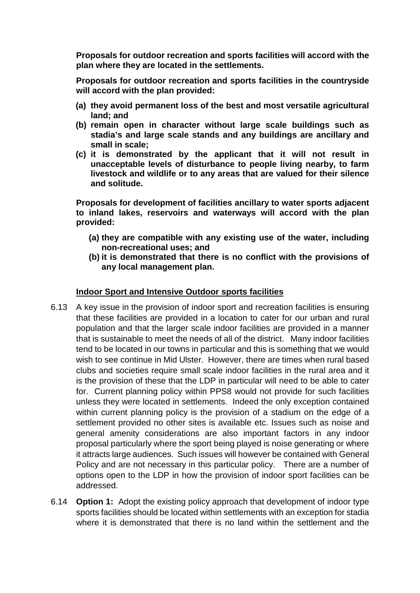**Proposals for outdoor recreation and sports facilities will accord with the plan where they are located in the settlements.** 

**Proposals for outdoor recreation and sports facilities in the countryside will accord with the plan provided:**

- **(a) they avoid permanent loss of the best and most versatile agricultural land; and**
- **(b) remain open in character without large scale buildings such as stadia's and large scale stands and any buildings are ancillary and small in scale;**
- **(c) it is demonstrated by the applicant that it will not result in unacceptable levels of disturbance to people living nearby, to farm livestock and wildlife or to any areas that are valued for their silence and solitude.**

**Proposals for development of facilities ancillary to water sports adjacent to inland lakes, reservoirs and waterways will accord with the plan provided:**

- **(a) they are compatible with any existing use of the water, including non-recreational uses; and**
- **(b) it is demonstrated that there is no conflict with the provisions of any local management plan.**

#### **Indoor Sport and Intensive Outdoor sports facilities**

- 6.13 A key issue in the provision of indoor sport and recreation facilities is ensuring that these facilities are provided in a location to cater for our urban and rural population and that the larger scale indoor facilities are provided in a manner that is sustainable to meet the needs of all of the district. Many indoor facilities tend to be located in our towns in particular and this is something that we would wish to see continue in Mid Ulster. However, there are times when rural based clubs and societies require small scale indoor facilities in the rural area and it is the provision of these that the LDP in particular will need to be able to cater for. Current planning policy within PPS8 would not provide for such facilities unless they were located in settlements. Indeed the only exception contained within current planning policy is the provision of a stadium on the edge of a settlement provided no other sites is available etc. Issues such as noise and general amenity considerations are also important factors in any indoor proposal particularly where the sport being played is noise generating or where it attracts large audiences. Such issues will however be contained with General Policy and are not necessary in this particular policy. There are a number of options open to the LDP in how the provision of indoor sport facilities can be addressed.
- 6.14 **Option 1:** Adopt the existing policy approach that development of indoor type sports facilities should be located within settlements with an exception for stadia where it is demonstrated that there is no land within the settlement and the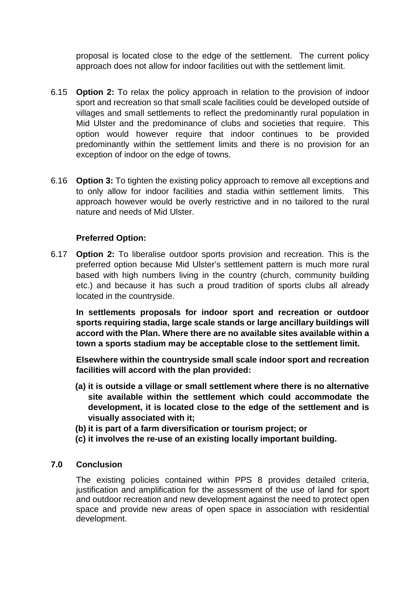proposal is located close to the edge of the settlement. The current policy approach does not allow for indoor facilities out with the settlement limit.

- 6.15 **Option 2:** To relax the policy approach in relation to the provision of indoor sport and recreation so that small scale facilities could be developed outside of villages and small settlements to reflect the predominantly rural population in Mid Ulster and the predominance of clubs and societies that require. This option would however require that indoor continues to be provided predominantly within the settlement limits and there is no provision for an exception of indoor on the edge of towns.
- 6.16 **Option 3:** To tighten the existing policy approach to remove all exceptions and to only allow for indoor facilities and stadia within settlement limits. This approach however would be overly restrictive and in no tailored to the rural nature and needs of Mid Ulster.

## **Preferred Option:**

6.17 **Option 2:** To liberalise outdoor sports provision and recreation. This is the preferred option because Mid Ulster's settlement pattern is much more rural based with high numbers living in the country (church, community building etc.) and because it has such a proud tradition of sports clubs all already located in the countryside.

**In settlements proposals for indoor sport and recreation or outdoor sports requiring stadia, large scale stands or large ancillary buildings will accord with the Plan. Where there are no available sites available within a town a sports stadium may be acceptable close to the settlement limit.**

**Elsewhere within the countryside small scale indoor sport and recreation facilities will accord with the plan provided:** 

- **(a) it is outside a village or small settlement where there is no alternative site available within the settlement which could accommodate the development, it is located close to the edge of the settlement and is visually associated with it;**
- **(b) it is part of a farm diversification or tourism project; or**
- **(c) it involves the re-use of an existing locally important building.**

## **7.0 Conclusion**

The existing policies contained within PPS 8 provides detailed criteria, justification and amplification for the assessment of the use of land for sport and outdoor recreation and new development against the need to protect open space and provide new areas of open space in association with residential development.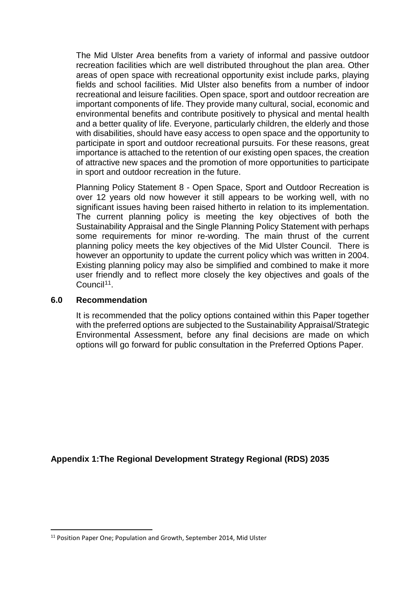The Mid Ulster Area benefits from a variety of informal and passive outdoor recreation facilities which are well distributed throughout the plan area. Other areas of open space with recreational opportunity exist include parks, playing fields and school facilities. Mid Ulster also benefits from a number of indoor recreational and leisure facilities. Open space, sport and outdoor recreation are important components of life. They provide many cultural, social, economic and environmental benefits and contribute positively to physical and mental health and a better quality of life. Everyone, particularly children, the elderly and those with disabilities, should have easy access to open space and the opportunity to participate in sport and outdoor recreational pursuits. For these reasons, great importance is attached to the retention of our existing open spaces, the creation of attractive new spaces and the promotion of more opportunities to participate in sport and outdoor recreation in the future.

Planning Policy Statement 8 - Open Space, Sport and Outdoor Recreation is over 12 years old now however it still appears to be working well, with no significant issues having been raised hitherto in relation to its implementation. The current planning policy is meeting the key objectives of both the Sustainability Appraisal and the Single Planning Policy Statement with perhaps some requirements for minor re-wording. The main thrust of the current planning policy meets the key objectives of the Mid Ulster Council. There is however an opportunity to update the current policy which was written in 2004. Existing planning policy may also be simplified and combined to make it more user friendly and to reflect more closely the key objectives and goals of the Council<sup>[11](#page-25-0)</sup>.

#### **6.0 Recommendation**

It is recommended that the policy options contained within this Paper together with the preferred options are subjected to the Sustainability Appraisal/Strategic Environmental Assessment, before any final decisions are made on which options will go forward for public consultation in the Preferred Options Paper.

**Appendix 1:The Regional Development Strategy Regional (RDS) 2035**

<span id="page-25-0"></span> <sup>11</sup> Position Paper One; Population and Growth, September 2014, Mid Ulster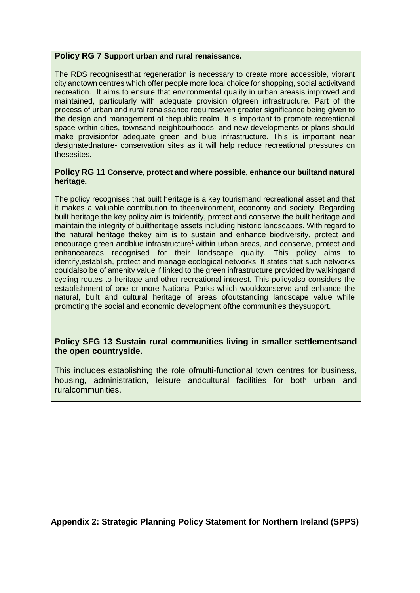#### **Policy RG 7 Support urban and rural renaissance.**

The RDS recognisesthat regeneration is necessary to create more accessible, vibrant city andtown centres which offer people more local choice for shopping, social activityand recreation. It aims to ensure that environmental quality in urban areasis improved and maintained, particularly with adequate provision ofgreen infrastructure. Part of the process of urban and rural renaissance requireseven greater significance being given to the design and management of thepublic realm. It is important to promote recreational space within cities, townsand neighbourhoods, and new developments or plans should make provisionfor adequate green and blue infrastructure. This is important near designatednature- conservation sites as it will help reduce recreational pressures on thesesites.

#### **Policy RG 11 Conserve, protect and where possible, enhance our builtand natural heritage.**

The policy recognises that built heritage is a key tourismand recreational asset and that it makes a valuable contribution to theenvironment, economy and society. Regarding built heritage the key policy aim is toidentify, protect and conserve the built heritage and maintain the integrity of builtheritage assets including historic landscapes. With regard to the natural heritage thekey aim is to sustain and enhance biodiversity, protect and encourage green andblue infrastructure<sup>1</sup> within urban areas, and conserve, protect and enhanceareas recognised for their landscape quality. This policy aims to identify,establish, protect and manage ecological networks. It states that such networks couldalso be of amenity value if linked to the green infrastructure provided by walkingand cycling routes to heritage and other recreational interest. This policyalso considers the establishment of one or more National Parks which wouldconserve and enhance the natural, built and cultural heritage of areas ofoutstanding landscape value while promoting the social and economic development ofthe communities theysupport.

## **Policy SFG 13 Sustain rural communities living in smaller settlementsand the open countryside.**

This includes establishing the role ofmulti-functional town centres for business, housing, administration, leisure andcultural facilities for both urban and ruralcommunities.

**Appendix 2: Strategic Planning Policy Statement for Northern Ireland (SPPS)**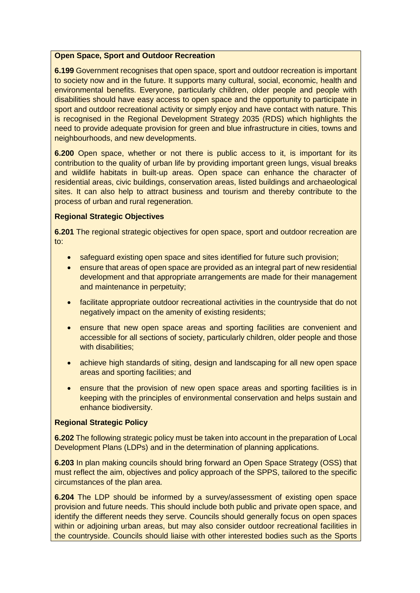#### **Open Space, Sport and Outdoor Recreation**

**6.199** Government recognises that open space, sport and outdoor recreation is important to society now and in the future. It supports many cultural, social, economic, health and environmental benefits. Everyone, particularly children, older people and people with disabilities should have easy access to open space and the opportunity to participate in sport and outdoor recreational activity or simply enjoy and have contact with nature. This is recognised in the Regional Development Strategy 2035 (RDS) which highlights the need to provide adequate provision for green and blue infrastructure in cities, towns and neighbourhoods, and new developments.

**6.200** Open space, whether or not there is public access to it, is important for its contribution to the quality of urban life by providing important green lungs, visual breaks and wildlife habitats in built-up areas. Open space can enhance the character of residential areas, civic buildings, conservation areas, listed buildings and archaeological sites. It can also help to attract business and tourism and thereby contribute to the process of urban and rural regeneration.

#### **Regional Strategic Objectives**

**6.201** The regional strategic objectives for open space, sport and outdoor recreation are to:

- safeguard existing open space and sites identified for future such provision;
- ensure that areas of open space are provided as an integral part of new residential development and that appropriate arrangements are made for their management and maintenance in perpetuity;
- facilitate appropriate outdoor recreational activities in the countryside that do not negatively impact on the amenity of existing residents;
- ensure that new open space areas and sporting facilities are convenient and accessible for all sections of society, particularly children, older people and those with disabilities;
- achieve high standards of siting, design and landscaping for all new open space areas and sporting facilities; and
- ensure that the provision of new open space areas and sporting facilities is in keeping with the principles of environmental conservation and helps sustain and enhance biodiversity.

#### **Regional Strategic Policy**

**6.202** The following strategic policy must be taken into account in the preparation of Local Development Plans (LDPs) and in the determination of planning applications.

**6.203** In plan making councils should bring forward an Open Space Strategy (OSS) that must reflect the aim, objectives and policy approach of the SPPS, tailored to the specific circumstances of the plan area.

**6.204** The LDP should be informed by a survey/assessment of existing open space provision and future needs. This should include both public and private open space, and identify the different needs they serve. Councils should generally focus on open spaces within or adjoining urban areas, but may also consider outdoor recreational facilities in the countryside. Councils should liaise with other interested bodies such as the Sports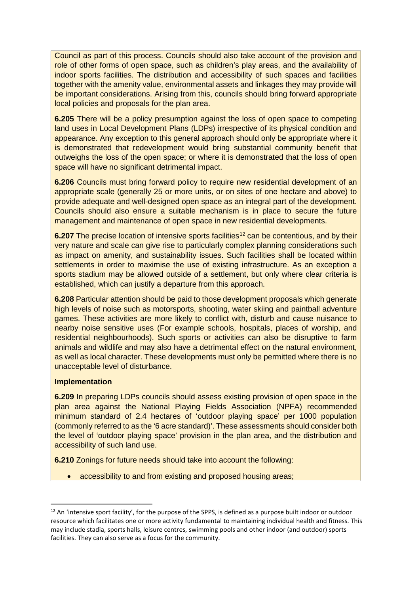Council as part of this process. Councils should also take account of the provision and role of other forms of open space, such as children's play areas, and the availability of indoor sports facilities. The distribution and accessibility of such spaces and facilities together with the amenity value, environmental assets and linkages they may provide will be important considerations. Arising from this, councils should bring forward appropriate local policies and proposals for the plan area.

**6.205** There will be a policy presumption against the loss of open space to competing land uses in Local Development Plans (LDPs) irrespective of its physical condition and appearance. Any exception to this general approach should only be appropriate where it is demonstrated that redevelopment would bring substantial community benefit that outweighs the loss of the open space; or where it is demonstrated that the loss of open space will have no significant detrimental impact.

**6.206** Councils must bring forward policy to require new residential development of an appropriate scale (generally 25 or more units, or on sites of one hectare and above) to provide adequate and well-designed open space as an integral part of the development. Councils should also ensure a suitable mechanism is in place to secure the future management and maintenance of open space in new residential developments.

**6.207** The precise location of intensive sports facilities<sup>[12](#page-28-0)</sup> can be contentious, and by their very nature and scale can give rise to particularly complex planning considerations such as impact on amenity, and sustainability issues. Such facilities shall be located within settlements in order to maximise the use of existing infrastructure. As an exception a sports stadium may be allowed outside of a settlement, but only where clear criteria is established, which can justify a departure from this approach.

**6.208** Particular attention should be paid to those development proposals which generate high levels of noise such as motorsports, shooting, water skiing and paintball adventure games. These activities are more likely to conflict with, disturb and cause nuisance to nearby noise sensitive uses (For example schools, hospitals, places of worship, and residential neighbourhoods). Such sports or activities can also be disruptive to farm animals and wildlife and may also have a detrimental effect on the natural environment, as well as local character. These developments must only be permitted where there is no unacceptable level of disturbance.

#### **Implementation**

**6.209** In preparing LDPs councils should assess existing provision of open space in the plan area against the National Playing Fields Association (NPFA) recommended minimum standard of 2.4 hectares of 'outdoor playing space' per 1000 population (commonly referred to as the '6 acre standard)'. These assessments should consider both the level of 'outdoor playing space' provision in the plan area, and the distribution and accessibility of such land use.

**6.210** Zonings for future needs should take into account the following:

accessibility to and from existing and proposed housing areas;

<span id="page-28-0"></span><sup>&</sup>lt;sup>12</sup> An 'intensive sport facility', for the purpose of the SPPS, is defined as a purpose built indoor or outdoor resource which facilitates one or more activity fundamental to maintaining individual health and fitness. This may include stadia, sports halls, leisure centres, swimming pools and other indoor (and outdoor) sports facilities. They can also serve as a focus for the community.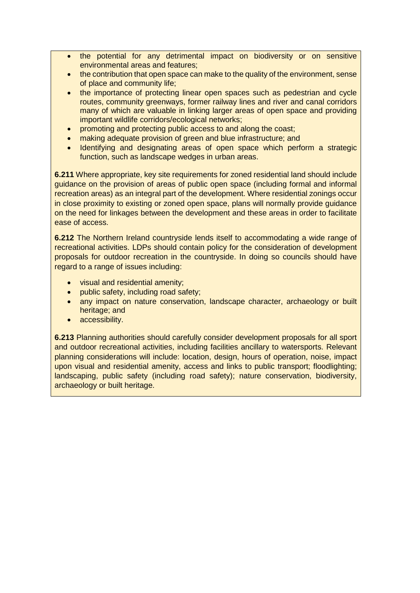- the potential for any detrimental impact on biodiversity or on sensitive environmental areas and features;
- the contribution that open space can make to the quality of the environment, sense of place and community life;
- the importance of protecting linear open spaces such as pedestrian and cycle routes, community greenways, former railway lines and river and canal corridors many of which are valuable in linking larger areas of open space and providing important wildlife corridors/ecological networks;
- promoting and protecting public access to and along the coast;
- making adequate provision of green and blue infrastructure; and
- Identifying and designating areas of open space which perform a strategic function, such as landscape wedges in urban areas.

**6.211** Where appropriate, key site requirements for zoned residential land should include guidance on the provision of areas of public open space (including formal and informal recreation areas) as an integral part of the development. Where residential zonings occur in close proximity to existing or zoned open space, plans will normally provide guidance on the need for linkages between the development and these areas in order to facilitate ease of access.

**6.212** The Northern Ireland countryside lends itself to accommodating a wide range of recreational activities. LDPs should contain policy for the consideration of development proposals for outdoor recreation in the countryside. In doing so councils should have regard to a range of issues including:

- visual and residential amenity;
- public safety, including road safety;
- any impact on nature conservation, landscape character, archaeology or built heritage; and
- accessibility.

**6.213** Planning authorities should carefully consider development proposals for all sport and outdoor recreational activities, including facilities ancillary to watersports. Relevant planning considerations will include: location, design, hours of operation, noise, impact upon visual and residential amenity, access and links to public transport; floodlighting; landscaping, public safety (including road safety); nature conservation, biodiversity, archaeology or built heritage.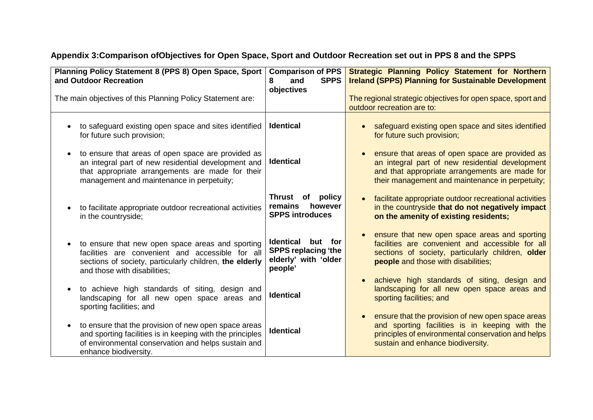|  |  | Appendix 3: Comparison of Objectives for Open Space, Sport and Outdoor Recreation set out in PPS 8 and the SPPS |
|--|--|-----------------------------------------------------------------------------------------------------------------|
|--|--|-----------------------------------------------------------------------------------------------------------------|

| Planning Policy Statement 8 (PPS 8) Open Space, Sport<br>and Outdoor Recreation                                                                                                                                | <b>Comparison of PPS</b><br><b>SPPS</b><br>8<br>and                                   | <b>Strategic Planning Policy Statement for Northern</b><br><b>Ireland (SPPS) Planning for Sustainable Development</b>                                                                                   |
|----------------------------------------------------------------------------------------------------------------------------------------------------------------------------------------------------------------|---------------------------------------------------------------------------------------|---------------------------------------------------------------------------------------------------------------------------------------------------------------------------------------------------------|
| The main objectives of this Planning Policy Statement are:                                                                                                                                                     | objectives                                                                            | The regional strategic objectives for open space, sport and<br>outdoor recreation are to:                                                                                                               |
| to safeguard existing open space and sites identified<br>for future such provision;                                                                                                                            | <b>Identical</b>                                                                      | safeguard existing open space and sites identified<br>for future such provision;                                                                                                                        |
| to ensure that areas of open space are provided as<br>an integral part of new residential development and<br>that appropriate arrangements are made for their<br>management and maintenance in perpetuity;     | <b>Identical</b>                                                                      | ensure that areas of open space are provided as<br>an integral part of new residential development<br>and that appropriate arrangements are made for<br>their management and maintenance in perpetuity; |
| to facilitate appropriate outdoor recreational activities<br>in the countryside;                                                                                                                               | Thrust of policy<br>however<br>remains<br><b>SPPS introduces</b>                      | facilitate appropriate outdoor recreational activities<br>in the countryside that do not negatively impact<br>on the amenity of existing residents;                                                     |
| to ensure that new open space areas and sporting<br>facilities are convenient and accessible for all<br>sections of society, particularly children, the elderly<br>and those with disabilities;                | Identical<br>but for<br><b>SPPS replacing 'the</b><br>elderly' with 'older<br>people' | ensure that new open space areas and sporting<br>facilities are convenient and accessible for all<br>sections of society, particularly children, older<br>people and those with disabilities;           |
| to achieve high standards of siting, design and<br>landscaping for all new open space areas and<br>sporting facilities; and                                                                                    | <b>Identical</b>                                                                      | achieve high standards of siting, design and<br>landscaping for all new open space areas and<br>sporting facilities; and                                                                                |
| to ensure that the provision of new open space areas<br>$\bullet$<br>and sporting facilities is in keeping with the principles<br>of environmental conservation and helps sustain and<br>enhance biodiversity. | <b>Identical</b>                                                                      | ensure that the provision of new open space areas<br>and sporting facilities is in keeping with the<br>principles of environmental conservation and helps<br>sustain and enhance biodiversity.          |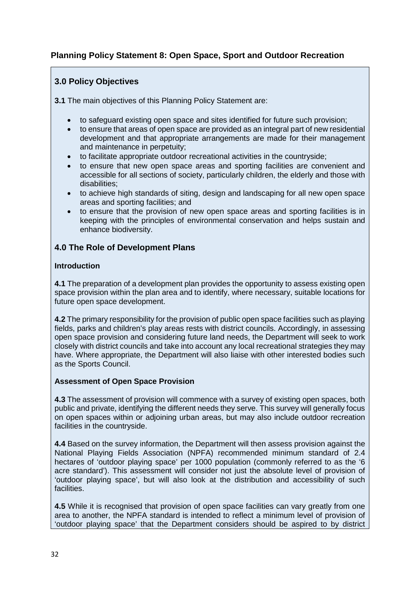# **Planning Policy Statement 8: Open Space, Sport and Outdoor Recreation**

## **3.0 Policy Objectives**

**3.1** The main objectives of this Planning Policy Statement are:

- to safeguard existing open space and sites identified for future such provision;
- to ensure that areas of open space are provided as an integral part of new residential development and that appropriate arrangements are made for their management and maintenance in perpetuity;
- to facilitate appropriate outdoor recreational activities in the countryside;
- to ensure that new open space areas and sporting facilities are convenient and accessible for all sections of society, particularly children, the elderly and those with disabilities;
- to achieve high standards of siting, design and landscaping for all new open space areas and sporting facilities; and
- to ensure that the provision of new open space areas and sporting facilities is in keeping with the principles of environmental conservation and helps sustain and enhance biodiversity.

#### **4.0 The Role of Development Plans**

#### **Introduction**

**4.1** The preparation of a development plan provides the opportunity to assess existing open space provision within the plan area and to identify, where necessary, suitable locations for future open space development.

**4.2** The primary responsibility for the provision of public open space facilities such as playing fields, parks and children's play areas rests with district councils. Accordingly, in assessing open space provision and considering future land needs, the Department will seek to work closely with district councils and take into account any local recreational strategies they may have. Where appropriate, the Department will also liaise with other interested bodies such as the Sports Council.

#### **Assessment of Open Space Provision**

**4.3** The assessment of provision will commence with a survey of existing open spaces, both public and private, identifying the different needs they serve. This survey will generally focus on open spaces within or adjoining urban areas, but may also include outdoor recreation facilities in the countryside.

**4.4** Based on the survey information, the Department will then assess provision against the National Playing Fields Association (NPFA) recommended minimum standard of 2.4 hectares of 'outdoor playing space' per 1000 population (commonly referred to as the '6 acre standard'). This assessment will consider not just the absolute level of provision of 'outdoor playing space', but will also look at the distribution and accessibility of such facilities.

**4.5** While it is recognised that provision of open space facilities can vary greatly from one area to another, the NPFA standard is intended to reflect a minimum level of provision of 'outdoor playing space' that the Department considers should be aspired to by district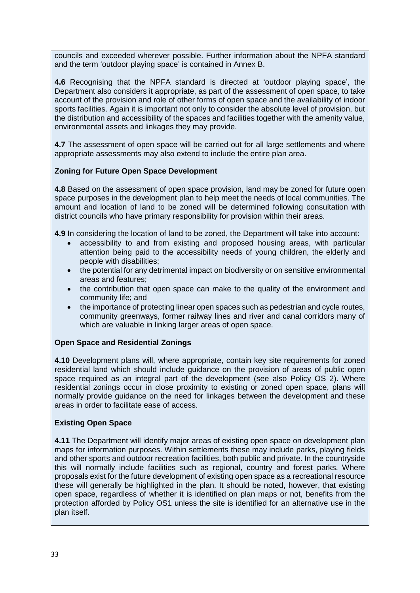councils and exceeded wherever possible. Further information about the NPFA standard and the term 'outdoor playing space' is contained in Annex B.

**4.6** Recognising that the NPFA standard is directed at 'outdoor playing space', the Department also considers it appropriate, as part of the assessment of open space, to take account of the provision and role of other forms of open space and the availability of indoor sports facilities. Again it is important not only to consider the absolute level of provision, but the distribution and accessibility of the spaces and facilities together with the amenity value, environmental assets and linkages they may provide.

**4.7** The assessment of open space will be carried out for all large settlements and where appropriate assessments may also extend to include the entire plan area.

## **Zoning for Future Open Space Development**

**4.8** Based on the assessment of open space provision, land may be zoned for future open space purposes in the development plan to help meet the needs of local communities. The amount and location of land to be zoned will be determined following consultation with district councils who have primary responsibility for provision within their areas.

**4.9** In considering the location of land to be zoned, the Department will take into account:

- accessibility to and from existing and proposed housing areas, with particular attention being paid to the accessibility needs of young children, the elderly and people with disabilities;
- the potential for any detrimental impact on biodiversity or on sensitive environmental areas and features;
- the contribution that open space can make to the quality of the environment and community life; and
- the importance of protecting linear open spaces such as pedestrian and cycle routes, community greenways, former railway lines and river and canal corridors many of which are valuable in linking larger areas of open space.

## **Open Space and Residential Zonings**

**4.10** Development plans will, where appropriate, contain key site requirements for zoned residential land which should include guidance on the provision of areas of public open space required as an integral part of the development (see also Policy OS 2). Where residential zonings occur in close proximity to existing or zoned open space, plans will normally provide guidance on the need for linkages between the development and these areas in order to facilitate ease of access.

## **Existing Open Space**

**4.11** The Department will identify major areas of existing open space on development plan maps for information purposes. Within settlements these may include parks, playing fields and other sports and outdoor recreation facilities, both public and private. In the countryside this will normally include facilities such as regional, country and forest parks. Where proposals exist for the future development of existing open space as a recreational resource these will generally be highlighted in the plan. It should be noted, however, that existing open space, regardless of whether it is identified on plan maps or not, benefits from the protection afforded by Policy OS1 unless the site is identified for an alternative use in the plan itself.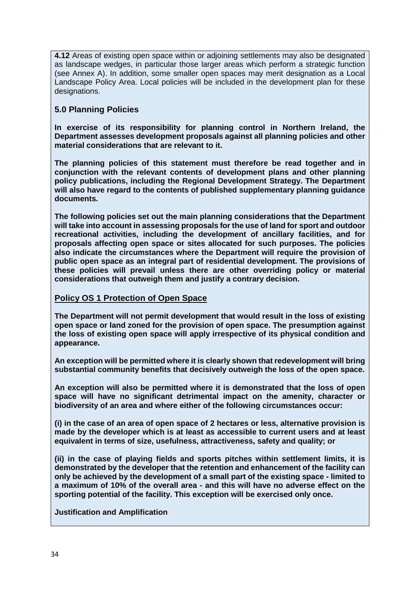**4.12** Areas of existing open space within or adjoining settlements may also be designated as landscape wedges, in particular those larger areas which perform a strategic function (see Annex A). In addition, some smaller open spaces may merit designation as a Local Landscape Policy Area. Local policies will be included in the development plan for these designations.

## **5.0 Planning Policies**

**In exercise of its responsibility for planning control in Northern Ireland, the Department assesses development proposals against all planning policies and other material considerations that are relevant to it.** 

**The planning policies of this statement must therefore be read together and in conjunction with the relevant contents of development plans and other planning policy publications, including the Regional Development Strategy. The Department will also have regard to the contents of published supplementary planning guidance documents.** 

**The following policies set out the main planning considerations that the Department will take into account in assessing proposals for the use of land for sport and outdoor recreational activities, including the development of ancillary facilities, and for proposals affecting open space or sites allocated for such purposes. The policies also indicate the circumstances where the Department will require the provision of public open space as an integral part of residential development. The provisions of these policies will prevail unless there are other overriding policy or material considerations that outweigh them and justify a contrary decision.**

## **Policy OS 1 Protection of Open Space**

**The Department will not permit development that would result in the loss of existing open space or land zoned for the provision of open space. The presumption against the loss of existing open space will apply irrespective of its physical condition and appearance.**

**An exception will be permitted where it is clearly shown that redevelopment will bring substantial community benefits that decisively outweigh the loss of the open space.**

**An exception will also be permitted where it is demonstrated that the loss of open space will have no significant detrimental impact on the amenity, character or biodiversity of an area and where either of the following circumstances occur:**

**(i) in the case of an area of open space of 2 hectares or less, alternative provision is made by the developer which is at least as accessible to current users and at least equivalent in terms of size, usefulness, attractiveness, safety and quality; or**

**(ii) in the case of playing fields and sports pitches within settlement limits, it is demonstrated by the developer that the retention and enhancement of the facility can only be achieved by the development of a small part of the existing space - limited to a maximum of 10% of the overall area - and this will have no adverse effect on the sporting potential of the facility. This exception will be exercised only once.**

#### **Justification and Amplification**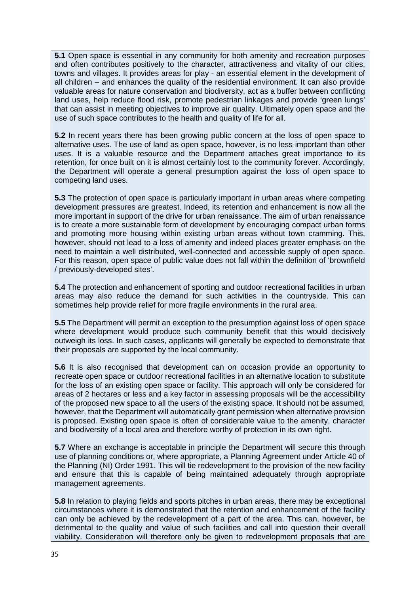**5.1** Open space is essential in any community for both amenity and recreation purposes and often contributes positively to the character, attractiveness and vitality of our cities, towns and villages. It provides areas for play - an essential element in the development of all children – and enhances the quality of the residential environment. It can also provide valuable areas for nature conservation and biodiversity, act as a buffer between conflicting land uses, help reduce flood risk, promote pedestrian linkages and provide 'green lungs' that can assist in meeting objectives to improve air quality. Ultimately open space and the use of such space contributes to the health and quality of life for all.

**5.2** In recent years there has been growing public concern at the loss of open space to alternative uses. The use of land as open space, however, is no less important than other uses. It is a valuable resource and the Department attaches great importance to its retention, for once built on it is almost certainly lost to the community forever. Accordingly, the Department will operate a general presumption against the loss of open space to competing land uses.

**5.3** The protection of open space is particularly important in urban areas where competing development pressures are greatest. Indeed, its retention and enhancement is now all the more important in support of the drive for urban renaissance. The aim of urban renaissance is to create a more sustainable form of development by encouraging compact urban forms and promoting more housing within existing urban areas without town cramming. This, however, should not lead to a loss of amenity and indeed places greater emphasis on the need to maintain a well distributed, well-connected and accessible supply of open space. For this reason, open space of public value does not fall within the definition of 'brownfield / previously-developed sites'.

**5.4** The protection and enhancement of sporting and outdoor recreational facilities in urban areas may also reduce the demand for such activities in the countryside. This can sometimes help provide relief for more fragile environments in the rural area.

**5.5** The Department will permit an exception to the presumption against loss of open space where development would produce such community benefit that this would decisively outweigh its loss. In such cases, applicants will generally be expected to demonstrate that their proposals are supported by the local community.

**5.6** It is also recognised that development can on occasion provide an opportunity to recreate open space or outdoor recreational facilities in an alternative location to substitute for the loss of an existing open space or facility. This approach will only be considered for areas of 2 hectares or less and a key factor in assessing proposals will be the accessibility of the proposed new space to all the users of the existing space. It should not be assumed, however, that the Department will automatically grant permission when alternative provision is proposed. Existing open space is often of considerable value to the amenity, character and biodiversity of a local area and therefore worthy of protection in its own right.

**5.7** Where an exchange is acceptable in principle the Department will secure this through use of planning conditions or, where appropriate, a Planning Agreement under Article 40 of the Planning (NI) Order 1991. This will tie redevelopment to the provision of the new facility and ensure that this is capable of being maintained adequately through appropriate management agreements.

**5.8** In relation to playing fields and sports pitches in urban areas, there may be exceptional circumstances where it is demonstrated that the retention and enhancement of the facility can only be achieved by the redevelopment of a part of the area. This can, however, be detrimental to the quality and value of such facilities and call into question their overall viability. Consideration will therefore only be given to redevelopment proposals that are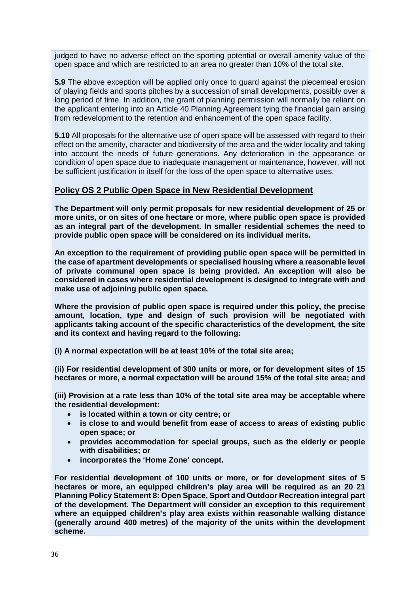judged to have no adverse effect on the sporting potential or overall amenity value of the open space and which are restricted to an area no greater than 10% of the total site.

**5.9** The above exception will be applied only once to guard against the piecemeal erosion of playing fields and sports pitches by a succession of small developments, possibly over a long period of time. In addition, the grant of planning permission will normally be reliant on the applicant entering into an Article 40 Planning Agreement tying the financial gain arising from redevelopment to the retention and enhancement of the open space facility.

**5.10** All proposals for the alternative use of open space will be assessed with regard to their effect on the amenity, character and biodiversity of the area and the wider locality and taking into account the needs of future generations. Any deterioration in the appearance or condition of open space due to inadequate management or maintenance, however, will not be sufficient justification in itself for the loss of the open space to alternative uses.

#### **Policy OS 2 Public Open Space in New Residential Development**

**The Department will only permit proposals for new residential development of 25 or more units, or on sites of one hectare or more, where public open space is provided as an integral part of the development. In smaller residential schemes the need to provide public open space will be considered on its individual merits.**

**An exception to the requirement of providing public open space will be permitted in the case of apartment developments or specialised housing where a reasonable level of private communal open space is being provided. An exception will also be considered in cases where residential development is designed to integrate with and make use of adjoining public open space.**

**Where the provision of public open space is required under this policy, the precise amount, location, type and design of such provision will be negotiated with applicants taking account of the specific characteristics of the development, the site and its context and having regard to the following:**

**(i) A normal expectation will be at least 10% of the total site area;**

**(ii) For residential development of 300 units or more, or for development sites of 15 hectares or more, a normal expectation will be around 15% of the total site area; and**

**(iii) Provision at a rate less than 10% of the total site area may be acceptable where the residential development:**

- **is located within a town or city centre; or**
- **is close to and would benefit from ease of access to areas of existing public open space; or**
- **provides accommodation for special groups, such as the elderly or people with disabilities; or**
- **incorporates the 'Home Zone' concept.**

**For residential development of 100 units or more, or for development sites of 5 hectares or more, an equipped children's play area will be required as an 20 21 Planning Policy Statement 8: Open Space, Sport and Outdoor Recreation integral part of the development. The Department will consider an exception to this requirement where an equipped children's play area exists within reasonable walking distance (generally around 400 metres) of the majority of the units within the development scheme.**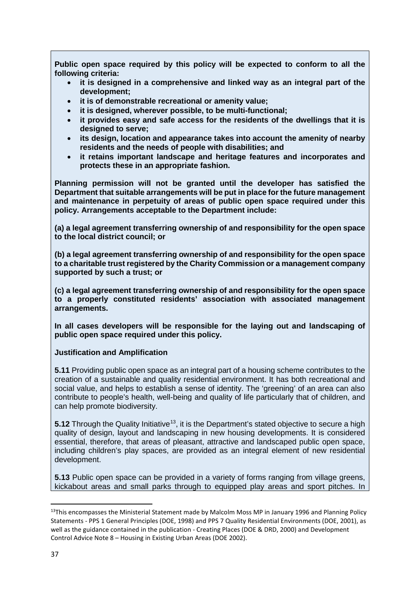**Public open space required by this policy will be expected to conform to all the following criteria:**

- **it is designed in a comprehensive and linked way as an integral part of the development;**
- **it is of demonstrable recreational or amenity value;**
- **it is designed, wherever possible, to be multi-functional;**
- **it provides easy and safe access for the residents of the dwellings that it is designed to serve;**
- **its design, location and appearance takes into account the amenity of nearby residents and the needs of people with disabilities; and**
- **it retains important landscape and heritage features and incorporates and protects these in an appropriate fashion.**

**Planning permission will not be granted until the developer has satisfied the Department that suitable arrangements will be put in place for the future management and maintenance in perpetuity of areas of public open space required under this policy. Arrangements acceptable to the Department include:**

**(a) a legal agreement transferring ownership of and responsibility for the open space to the local district council; or**

**(b) a legal agreement transferring ownership of and responsibility for the open space to a charitable trust registered by the Charity Commission or a management company supported by such a trust; or**

**(c) a legal agreement transferring ownership of and responsibility for the open space to a properly constituted residents' association with associated management arrangements.**

**In all cases developers will be responsible for the laying out and landscaping of public open space required under this policy.**

**Justification and Amplification**

**5.11** Providing public open space as an integral part of a housing scheme contributes to the creation of a sustainable and quality residential environment. It has both recreational and social value, and helps to establish a sense of identity. The 'greening' of an area can also contribute to people's health, well-being and quality of life particularly that of children, and can help promote biodiversity.

**5.12** Through the Quality Initiative<sup>[13](#page-36-0)</sup>, it is the Department's stated objective to secure a high quality of design, layout and landscaping in new housing developments. It is considered essential, therefore, that areas of pleasant, attractive and landscaped public open space, including children's play spaces, are provided as an integral element of new residential development.

**5.13** Public open space can be provided in a variety of forms ranging from village greens, kickabout areas and small parks through to equipped play areas and sport pitches. In

<span id="page-36-0"></span><sup>&</sup>lt;sup>13</sup>This encompasses the Ministerial Statement made by Malcolm Moss MP in January 1996 and Planning Policy Statements - PPS 1 General Principles (DOE, 1998) and PPS 7 Quality Residential Environments (DOE, 2001), as well as the guidance contained in the publication - Creating Places (DOE & DRD, 2000) and Development Control Advice Note 8 – Housing in Existing Urban Areas (DOE 2002).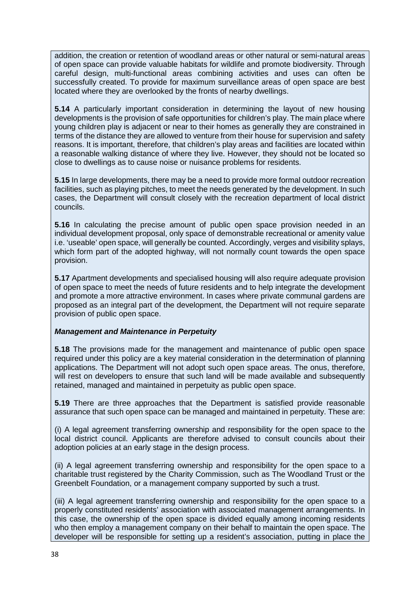addition, the creation or retention of woodland areas or other natural or semi-natural areas of open space can provide valuable habitats for wildlife and promote biodiversity. Through careful design, multi-functional areas combining activities and uses can often be successfully created. To provide for maximum surveillance areas of open space are best located where they are overlooked by the fronts of nearby dwellings.

**5.14** A particularly important consideration in determining the layout of new housing developments is the provision of safe opportunities for children's play. The main place where young children play is adjacent or near to their homes as generally they are constrained in terms of the distance they are allowed to venture from their house for supervision and safety reasons. It is important, therefore, that children's play areas and facilities are located within a reasonable walking distance of where they live. However, they should not be located so close to dwellings as to cause noise or nuisance problems for residents.

**5.15** In large developments, there may be a need to provide more formal outdoor recreation facilities, such as playing pitches, to meet the needs generated by the development. In such cases, the Department will consult closely with the recreation department of local district councils.

**5.16** In calculating the precise amount of public open space provision needed in an individual development proposal, only space of demonstrable recreational or amenity value i.e. 'useable' open space, will generally be counted. Accordingly, verges and visibility splays, which form part of the adopted highway, will not normally count towards the open space provision.

**5.17** Apartment developments and specialised housing will also require adequate provision of open space to meet the needs of future residents and to help integrate the development and promote a more attractive environment. In cases where private communal gardens are proposed as an integral part of the development, the Department will not require separate provision of public open space.

## *Management and Maintenance in Perpetuity*

**5.18** The provisions made for the management and maintenance of public open space required under this policy are a key material consideration in the determination of planning applications. The Department will not adopt such open space areas. The onus, therefore, will rest on developers to ensure that such land will be made available and subsequently retained, managed and maintained in perpetuity as public open space.

**5.19** There are three approaches that the Department is satisfied provide reasonable assurance that such open space can be managed and maintained in perpetuity. These are:

(i) A legal agreement transferring ownership and responsibility for the open space to the local district council. Applicants are therefore advised to consult councils about their adoption policies at an early stage in the design process.

(ii) A legal agreement transferring ownership and responsibility for the open space to a charitable trust registered by the Charity Commission, such as The Woodland Trust or the Greenbelt Foundation, or a management company supported by such a trust.

(iii) A legal agreement transferring ownership and responsibility for the open space to a properly constituted residents' association with associated management arrangements. In this case, the ownership of the open space is divided equally among incoming residents who then employ a management company on their behalf to maintain the open space. The developer will be responsible for setting up a resident's association, putting in place the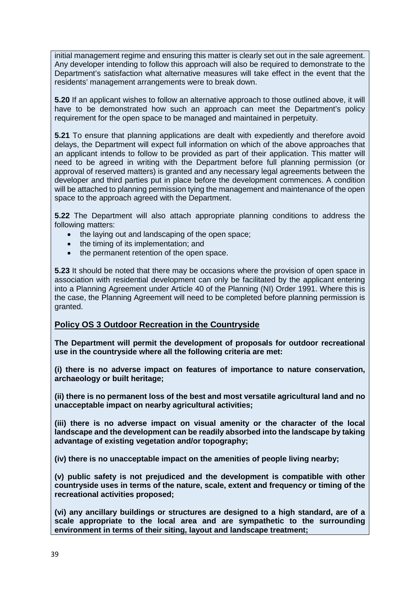initial management regime and ensuring this matter is clearly set out in the sale agreement. Any developer intending to follow this approach will also be required to demonstrate to the Department's satisfaction what alternative measures will take effect in the event that the residents' management arrangements were to break down.

**5.20** If an applicant wishes to follow an alternative approach to those outlined above, it will have to be demonstrated how such an approach can meet the Department's policy requirement for the open space to be managed and maintained in perpetuity.

**5.21** To ensure that planning applications are dealt with expediently and therefore avoid delays, the Department will expect full information on which of the above approaches that an applicant intends to follow to be provided as part of their application. This matter will need to be agreed in writing with the Department before full planning permission (or approval of reserved matters) is granted and any necessary legal agreements between the developer and third parties put in place before the development commences. A condition will be attached to planning permission tying the management and maintenance of the open space to the approach agreed with the Department.

**5.22** The Department will also attach appropriate planning conditions to address the following matters:

- the laying out and landscaping of the open space;
- the timing of its implementation; and
- the permanent retention of the open space.

**5.23** It should be noted that there may be occasions where the provision of open space in association with residential development can only be facilitated by the applicant entering into a Planning Agreement under Article 40 of the Planning (NI) Order 1991. Where this is the case, the Planning Agreement will need to be completed before planning permission is granted.

## **Policy OS 3 Outdoor Recreation in the Countryside**

**The Department will permit the development of proposals for outdoor recreational use in the countryside where all the following criteria are met:**

**(i) there is no adverse impact on features of importance to nature conservation, archaeology or built heritage;**

**(ii) there is no permanent loss of the best and most versatile agricultural land and no unacceptable impact on nearby agricultural activities;**

**(iii) there is no adverse impact on visual amenity or the character of the local landscape and the development can be readily absorbed into the landscape by taking advantage of existing vegetation and/or topography;**

**(iv) there is no unacceptable impact on the amenities of people living nearby;**

**(v) public safety is not prejudiced and the development is compatible with other countryside uses in terms of the nature, scale, extent and frequency or timing of the recreational activities proposed;**

**(vi) any ancillary buildings or structures are designed to a high standard, are of a scale appropriate to the local area and are sympathetic to the surrounding environment in terms of their siting, layout and landscape treatment;**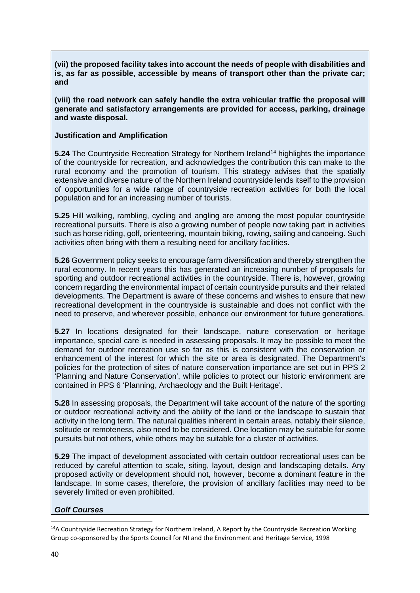**(vii) the proposed facility takes into account the needs of people with disabilities and is, as far as possible, accessible by means of transport other than the private car; and**

**(viii) the road network can safely handle the extra vehicular traffic the proposal will generate and satisfactory arrangements are provided for access, parking, drainage and waste disposal.**

#### **Justification and Amplification**

**5.24** The Countryside Recreation Strategy for Northern Ireland<sup>[14](#page-39-0)</sup> highlights the importance of the countryside for recreation, and acknowledges the contribution this can make to the rural economy and the promotion of tourism. This strategy advises that the spatially extensive and diverse nature of the Northern Ireland countryside lends itself to the provision of opportunities for a wide range of countryside recreation activities for both the local population and for an increasing number of tourists.

**5.25** Hill walking, rambling, cycling and angling are among the most popular countryside recreational pursuits. There is also a growing number of people now taking part in activities such as horse riding, golf, orienteering, mountain biking, rowing, sailing and canoeing. Such activities often bring with them a resulting need for ancillary facilities.

**5.26** Government policy seeks to encourage farm diversification and thereby strengthen the rural economy. In recent years this has generated an increasing number of proposals for sporting and outdoor recreational activities in the countryside. There is, however, growing concern regarding the environmental impact of certain countryside pursuits and their related developments. The Department is aware of these concerns and wishes to ensure that new recreational development in the countryside is sustainable and does not conflict with the need to preserve, and wherever possible, enhance our environment for future generations.

**5.27** In locations designated for their landscape, nature conservation or heritage importance, special care is needed in assessing proposals. It may be possible to meet the demand for outdoor recreation use so far as this is consistent with the conservation or enhancement of the interest for which the site or area is designated. The Department's policies for the protection of sites of nature conservation importance are set out in PPS 2 'Planning and Nature Conservation', while policies to protect our historic environment are contained in PPS 6 'Planning, Archaeology and the Built Heritage'.

**5.28** In assessing proposals, the Department will take account of the nature of the sporting or outdoor recreational activity and the ability of the land or the landscape to sustain that activity in the long term. The natural qualities inherent in certain areas, notably their silence, solitude or remoteness, also need to be considered. One location may be suitable for some pursuits but not others, while others may be suitable for a cluster of activities.

**5.29** The impact of development associated with certain outdoor recreational uses can be reduced by careful attention to scale, siting, layout, design and landscaping details. Any proposed activity or development should not, however, become a dominant feature in the landscape. In some cases, therefore, the provision of ancillary facilities may need to be severely limited or even prohibited.

#### *Golf Courses*

<span id="page-39-0"></span> $14A$  Countryside Recreation Strategy for Northern Ireland, A Report by the Countryside Recreation Working Group co-sponsored by the Sports Council for NI and the Environment and Heritage Service, 1998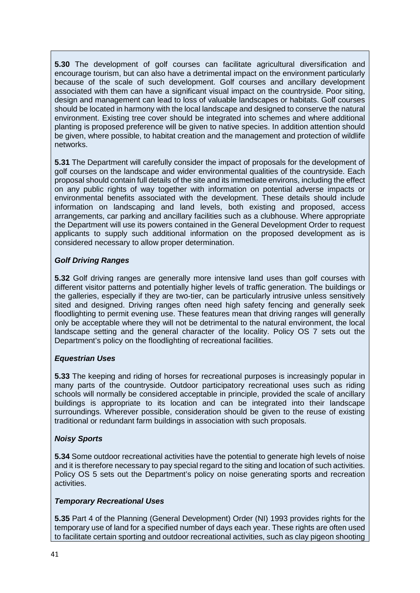**5.30** The development of golf courses can facilitate agricultural diversification and encourage tourism, but can also have a detrimental impact on the environment particularly because of the scale of such development. Golf courses and ancillary development associated with them can have a significant visual impact on the countryside. Poor siting, design and management can lead to loss of valuable landscapes or habitats. Golf courses should be located in harmony with the local landscape and designed to conserve the natural environment. Existing tree cover should be integrated into schemes and where additional planting is proposed preference will be given to native species. In addition attention should be given, where possible, to habitat creation and the management and protection of wildlife networks.

**5.31** The Department will carefully consider the impact of proposals for the development of golf courses on the landscape and wider environmental qualities of the countryside. Each proposal should contain full details of the site and its immediate environs, including the effect on any public rights of way together with information on potential adverse impacts or environmental benefits associated with the development. These details should include information on landscaping and land levels, both existing and proposed, access arrangements, car parking and ancillary facilities such as a clubhouse. Where appropriate the Department will use its powers contained in the General Development Order to request applicants to supply such additional information on the proposed development as is considered necessary to allow proper determination.

## *Golf Driving Ranges*

**5.32** Golf driving ranges are generally more intensive land uses than golf courses with different visitor patterns and potentially higher levels of traffic generation. The buildings or the galleries, especially if they are two-tier, can be particularly intrusive unless sensitively sited and designed. Driving ranges often need high safety fencing and generally seek floodlighting to permit evening use. These features mean that driving ranges will generally only be acceptable where they will not be detrimental to the natural environment, the local landscape setting and the general character of the locality. Policy OS 7 sets out the Department's policy on the floodlighting of recreational facilities.

## *Equestrian Uses*

**5.33** The keeping and riding of horses for recreational purposes is increasingly popular in many parts of the countryside. Outdoor participatory recreational uses such as riding schools will normally be considered acceptable in principle, provided the scale of ancillary buildings is appropriate to its location and can be integrated into their landscape surroundings. Wherever possible, consideration should be given to the reuse of existing traditional or redundant farm buildings in association with such proposals.

## *Noisy Sports*

**5.34** Some outdoor recreational activities have the potential to generate high levels of noise and it is therefore necessary to pay special regard to the siting and location of such activities. Policy OS 5 sets out the Department's policy on noise generating sports and recreation activities.

#### *Temporary Recreational Uses*

**5.35** Part 4 of the Planning (General Development) Order (NI) 1993 provides rights for the temporary use of land for a specified number of days each year. These rights are often used to facilitate certain sporting and outdoor recreational activities, such as clay pigeon shooting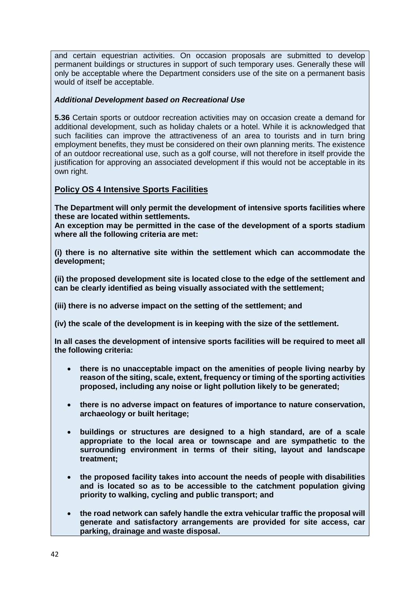and certain equestrian activities. On occasion proposals are submitted to develop permanent buildings or structures in support of such temporary uses. Generally these will only be acceptable where the Department considers use of the site on a permanent basis would of itself be acceptable.

#### *Additional Development based on Recreational Use*

**5.36** Certain sports or outdoor recreation activities may on occasion create a demand for additional development, such as holiday chalets or a hotel. While it is acknowledged that such facilities can improve the attractiveness of an area to tourists and in turn bring employment benefits, they must be considered on their own planning merits. The existence of an outdoor recreational use, such as a golf course, will not therefore in itself provide the justification for approving an associated development if this would not be acceptable in its own right.

## **Policy OS 4 Intensive Sports Facilities**

**The Department will only permit the development of intensive sports facilities where these are located within settlements.**

**An exception may be permitted in the case of the development of a sports stadium where all the following criteria are met:**

**(i) there is no alternative site within the settlement which can accommodate the development;**

**(ii) the proposed development site is located close to the edge of the settlement and can be clearly identified as being visually associated with the settlement;**

**(iii) there is no adverse impact on the setting of the settlement; and**

**(iv) the scale of the development is in keeping with the size of the settlement.**

**In all cases the development of intensive sports facilities will be required to meet all the following criteria:**

- **there is no unacceptable impact on the amenities of people living nearby by reason of the siting, scale, extent, frequency or timing of the sporting activities proposed, including any noise or light pollution likely to be generated;**
- **there is no adverse impact on features of importance to nature conservation, archaeology or built heritage;**
- **buildings or structures are designed to a high standard, are of a scale appropriate to the local area or townscape and are sympathetic to the surrounding environment in terms of their siting, layout and landscape treatment;**
- **the proposed facility takes into account the needs of people with disabilities and is located so as to be accessible to the catchment population giving priority to walking, cycling and public transport; and**
- **the road network can safely handle the extra vehicular traffic the proposal will generate and satisfactory arrangements are provided for site access, car parking, drainage and waste disposal.**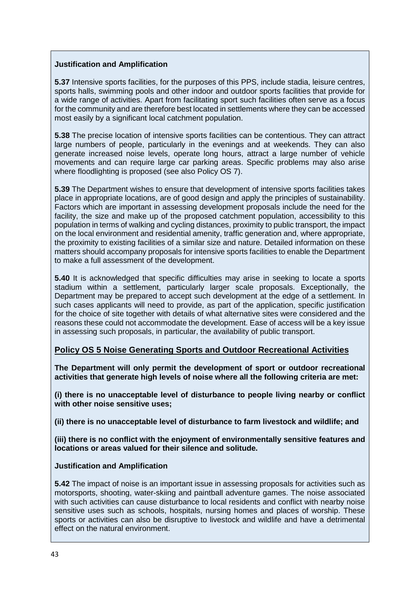#### **Justification and Amplification**

**5.37** Intensive sports facilities, for the purposes of this PPS, include stadia, leisure centres, sports halls, swimming pools and other indoor and outdoor sports facilities that provide for a wide range of activities. Apart from facilitating sport such facilities often serve as a focus for the community and are therefore best located in settlements where they can be accessed most easily by a significant local catchment population.

**5.38** The precise location of intensive sports facilities can be contentious. They can attract large numbers of people, particularly in the evenings and at weekends. They can also generate increased noise levels, operate long hours, attract a large number of vehicle movements and can require large car parking areas. Specific problems may also arise where floodlighting is proposed (see also Policy OS 7).

**5.39** The Department wishes to ensure that development of intensive sports facilities takes place in appropriate locations, are of good design and apply the principles of sustainability. Factors which are important in assessing development proposals include the need for the facility, the size and make up of the proposed catchment population, accessibility to this population in terms of walking and cycling distances, proximity to public transport, the impact on the local environment and residential amenity, traffic generation and, where appropriate, the proximity to existing facilities of a similar size and nature. Detailed information on these matters should accompany proposals for intensive sports facilities to enable the Department to make a full assessment of the development.

**5.40** It is acknowledged that specific difficulties may arise in seeking to locate a sports stadium within a settlement, particularly larger scale proposals. Exceptionally, the Department may be prepared to accept such development at the edge of a settlement. In such cases applicants will need to provide, as part of the application, specific justification for the choice of site together with details of what alternative sites were considered and the reasons these could not accommodate the development. Ease of access will be a key issue in assessing such proposals, in particular, the availability of public transport.

## **Policy OS 5 Noise Generating Sports and Outdoor Recreational Activities**

**The Department will only permit the development of sport or outdoor recreational activities that generate high levels of noise where all the following criteria are met:**

**(i) there is no unacceptable level of disturbance to people living nearby or conflict with other noise sensitive uses;**

**(ii) there is no unacceptable level of disturbance to farm livestock and wildlife; and**

**(iii) there is no conflict with the enjoyment of environmentally sensitive features and locations or areas valued for their silence and solitude.**

#### **Justification and Amplification**

**5.42** The impact of noise is an important issue in assessing proposals for activities such as motorsports, shooting, water-skiing and paintball adventure games. The noise associated with such activities can cause disturbance to local residents and conflict with nearby noise sensitive uses such as schools, hospitals, nursing homes and places of worship. These sports or activities can also be disruptive to livestock and wildlife and have a detrimental effect on the natural environment.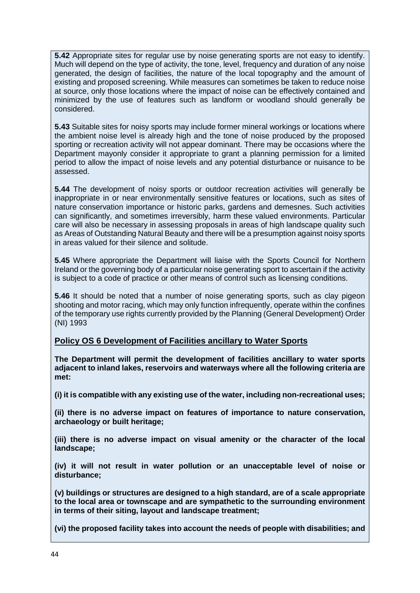**5.42** Appropriate sites for regular use by noise generating sports are not easy to identify. Much will depend on the type of activity, the tone, level, frequency and duration of any noise generated, the design of facilities, the nature of the local topography and the amount of existing and proposed screening. While measures can sometimes be taken to reduce noise at source, only those locations where the impact of noise can be effectively contained and minimized by the use of features such as landform or woodland should generally be considered.

**5.43** Suitable sites for noisy sports may include former mineral workings or locations where the ambient noise level is already high and the tone of noise produced by the proposed sporting or recreation activity will not appear dominant. There may be occasions where the Department mayonly consider it appropriate to grant a planning permission for a limited period to allow the impact of noise levels and any potential disturbance or nuisance to be assessed.

**5.44** The development of noisy sports or outdoor recreation activities will generally be inappropriate in or near environmentally sensitive features or locations, such as sites of nature conservation importance or historic parks, gardens and demesnes. Such activities can significantly, and sometimes irreversibly, harm these valued environments. Particular care will also be necessary in assessing proposals in areas of high landscape quality such as Areas of Outstanding Natural Beauty and there will be a presumption against noisy sports in areas valued for their silence and solitude.

**5.45** Where appropriate the Department will liaise with the Sports Council for Northern Ireland or the governing body of a particular noise generating sport to ascertain if the activity is subject to a code of practice or other means of control such as licensing conditions.

**5.46** It should be noted that a number of noise generating sports, such as clay pigeon shooting and motor racing, which may only function infrequently, operate within the confines of the temporary use rights currently provided by the Planning (General Development) Order (NI) 1993

## **Policy OS 6 Development of Facilities ancillary to Water Sports**

**The Department will permit the development of facilities ancillary to water sports adjacent to inland lakes, reservoirs and waterways where all the following criteria are met:**

**(i) it is compatible with any existing use of the water, including non-recreational uses;**

**(ii) there is no adverse impact on features of importance to nature conservation, archaeology or built heritage;**

**(iii) there is no adverse impact on visual amenity or the character of the local landscape;**

**(iv) it will not result in water pollution or an unacceptable level of noise or disturbance;**

**(v) buildings or structures are designed to a high standard, are of a scale appropriate to the local area or townscape and are sympathetic to the surrounding environment in terms of their siting, layout and landscape treatment;**

**(vi) the proposed facility takes into account the needs of people with disabilities; and**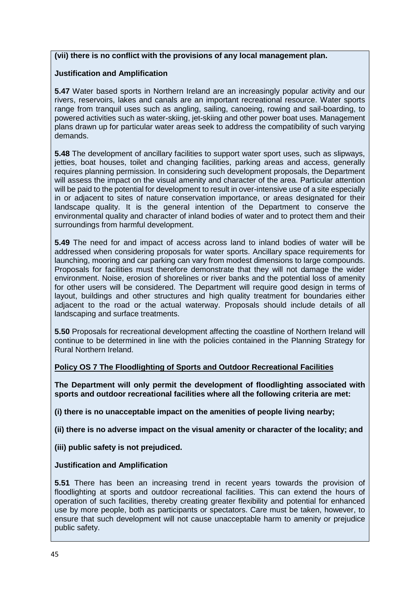#### **(vii) there is no conflict with the provisions of any local management plan.**

#### **Justification and Amplification**

**5.47** Water based sports in Northern Ireland are an increasingly popular activity and our rivers, reservoirs, lakes and canals are an important recreational resource. Water sports range from tranquil uses such as angling, sailing, canoeing, rowing and sail-boarding, to powered activities such as water-skiing, jet-skiing and other power boat uses. Management plans drawn up for particular water areas seek to address the compatibility of such varying demands.

**5.48** The development of ancillary facilities to support water sport uses, such as slipways, jetties, boat houses, toilet and changing facilities, parking areas and access, generally requires planning permission. In considering such development proposals, the Department will assess the impact on the visual amenity and character of the area. Particular attention will be paid to the potential for development to result in over-intensive use of a site especially in or adjacent to sites of nature conservation importance, or areas designated for their landscape quality. It is the general intention of the Department to conserve the environmental quality and character of inland bodies of water and to protect them and their surroundings from harmful development.

**5.49** The need for and impact of access across land to inland bodies of water will be addressed when considering proposals for water sports. Ancillary space requirements for launching, mooring and car parking can vary from modest dimensions to large compounds. Proposals for facilities must therefore demonstrate that they will not damage the wider environment. Noise, erosion of shorelines or river banks and the potential loss of amenity for other users will be considered. The Department will require good design in terms of layout, buildings and other structures and high quality treatment for boundaries either adjacent to the road or the actual waterway. Proposals should include details of all landscaping and surface treatments.

**5.50** Proposals for recreational development affecting the coastline of Northern Ireland will continue to be determined in line with the policies contained in the Planning Strategy for Rural Northern Ireland.

#### **Policy OS 7 The Floodlighting of Sports and Outdoor Recreational Facilities**

**The Department will only permit the development of floodlighting associated with sports and outdoor recreational facilities where all the following criteria are met:**

**(i) there is no unacceptable impact on the amenities of people living nearby;**

**(ii) there is no adverse impact on the visual amenity or character of the locality; and**

**(iii) public safety is not prejudiced.**

**Justification and Amplification**

**5.51** There has been an increasing trend in recent years towards the provision of floodlighting at sports and outdoor recreational facilities. This can extend the hours of operation of such facilities, thereby creating greater flexibility and potential for enhanced use by more people, both as participants or spectators. Care must be taken, however, to ensure that such development will not cause unacceptable harm to amenity or prejudice public safety.